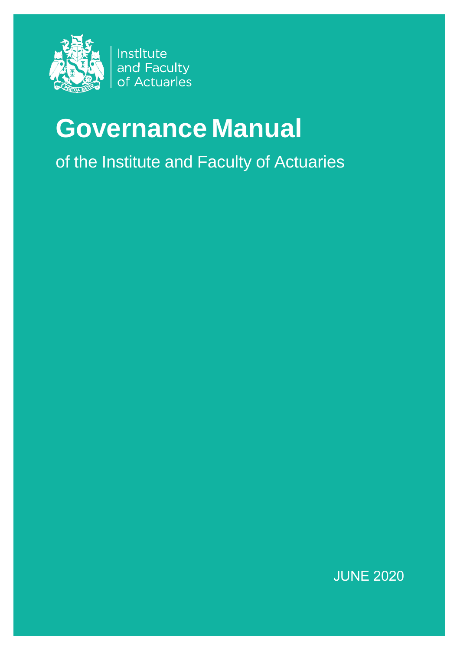

Instltute and Faculty of Actuarles

# **Governance Manual**

of the Institute and Faculty of Actuaries

JUNE 2020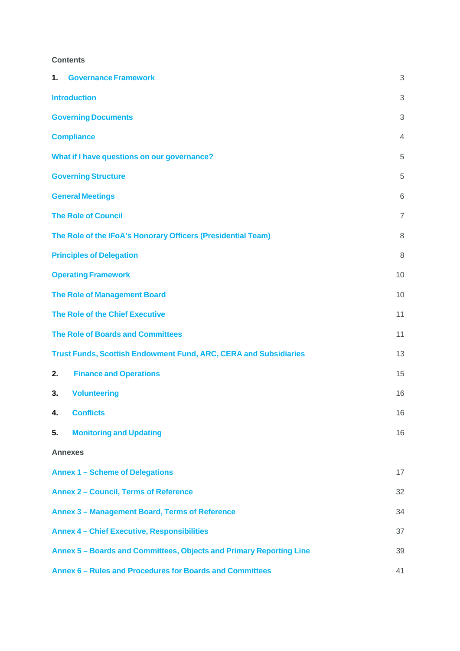# **Contents**

| 1. | <b>Governance Framework</b>                                             | 3              |  |  |  |  |  |
|----|-------------------------------------------------------------------------|----------------|--|--|--|--|--|
|    | <b>Introduction</b>                                                     | 3              |  |  |  |  |  |
|    | <b>Governing Documents</b>                                              | 3              |  |  |  |  |  |
|    | <b>Compliance</b>                                                       | $\overline{4}$ |  |  |  |  |  |
|    | What if I have questions on our governance?                             | 5              |  |  |  |  |  |
|    | <b>Governing Structure</b>                                              | 5              |  |  |  |  |  |
|    | <b>General Meetings</b>                                                 | 6              |  |  |  |  |  |
|    | <b>The Role of Council</b>                                              | $\overline{7}$ |  |  |  |  |  |
|    | The Role of the IFoA's Honorary Officers (Presidential Team)            | 8              |  |  |  |  |  |
|    | <b>Principles of Delegation</b>                                         | 8              |  |  |  |  |  |
|    | <b>Operating Framework</b>                                              | 10             |  |  |  |  |  |
|    | <b>The Role of Management Board</b>                                     | 10             |  |  |  |  |  |
|    | <b>The Role of the Chief Executive</b>                                  | 11             |  |  |  |  |  |
|    | <b>The Role of Boards and Committees</b>                                | 11             |  |  |  |  |  |
|    | <b>Trust Funds, Scottish Endowment Fund, ARC, CERA and Subsidiaries</b> | 13             |  |  |  |  |  |
| 2. | <b>Finance and Operations</b>                                           | 15             |  |  |  |  |  |
| 3. | <b>Volunteering</b>                                                     | 16             |  |  |  |  |  |
| 4. | <b>Conflicts</b>                                                        | 16             |  |  |  |  |  |
| 5. | <b>Monitoring and Updating</b>                                          | 16             |  |  |  |  |  |
|    | <b>Annexes</b>                                                          |                |  |  |  |  |  |
|    | <b>Annex 1 - Scheme of Delegations</b>                                  | 17             |  |  |  |  |  |
|    | <b>Annex 2 - Council, Terms of Reference</b>                            | 32             |  |  |  |  |  |
|    | Annex 3 - Management Board, Terms of Reference<br>34                    |                |  |  |  |  |  |
|    | <b>Annex 4 - Chief Executive, Responsibilities</b>                      | 37             |  |  |  |  |  |
|    | Annex 5 - Boards and Committees, Objects and Primary Reporting Line     | 39             |  |  |  |  |  |
|    | Annex 6 - Rules and Procedures for Boards and Committees                | 41             |  |  |  |  |  |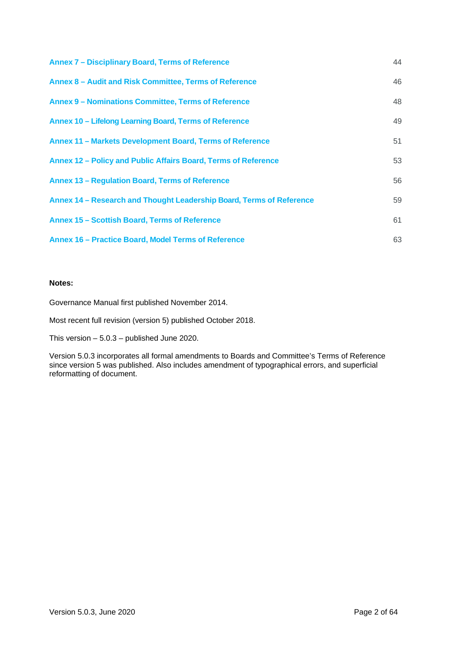| Annex 7 - Disciplinary Board, Terms of Reference                     | 44 |
|----------------------------------------------------------------------|----|
| Annex 8 - Audit and Risk Committee, Terms of Reference               | 46 |
| Annex 9 - Nominations Committee, Terms of Reference                  | 48 |
| Annex 10 - Lifelong Learning Board, Terms of Reference               | 49 |
| Annex 11 - Markets Development Board, Terms of Reference             | 51 |
| Annex 12 – Policy and Public Affairs Board, Terms of Reference       | 53 |
| Annex 13 - Regulation Board, Terms of Reference                      | 56 |
| Annex 14 - Research and Thought Leadership Board, Terms of Reference | 59 |
| Annex 15 - Scottish Board, Terms of Reference                        | 61 |
| Annex 16 - Practice Board, Model Terms of Reference                  | 63 |

#### **Notes:**

Governance Manual first published November 2014.

Most recent full revision (version 5) published October 2018.

This version – 5.0.3 – published June 2020.

Version 5.0.3 incorporates all formal amendments to Boards and Committee's Terms of Reference since version 5 was published. Also includes amendment of typographical errors, and superficial reformatting of document.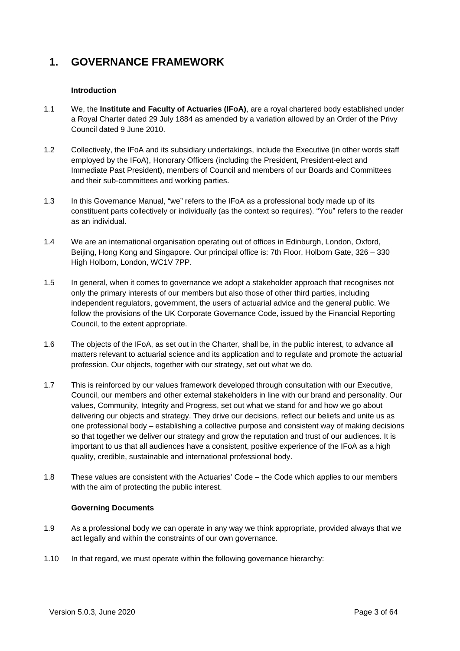# **1. GOVERNANCE FRAMEWORK**

### **Introduction**

- 1.1 We, the **Institute and Faculty of Actuaries (IFoA)**, are a royal chartered body established under a Royal Charter dated 29 July 1884 as amended by a variation allowed by an Order of the Privy Council dated 9 June 2010.
- 1.2 Collectively, the IFoA and its subsidiary undertakings, include the Executive (in other words staff employed by the IFoA), Honorary Officers (including the President, President-elect and Immediate Past President), members of Council and members of our Boards and Committees and their sub-committees and working parties.
- 1.3 In this Governance Manual, "we" refers to the IFoA as a professional body made up of its constituent parts collectively or individually (as the context so requires). "You" refers to the reader as an individual.
- 1.4 We are an international organisation operating out of offices in Edinburgh, London, Oxford, Beijing, Hong Kong and Singapore. Our principal office is: 7th Floor, Holborn Gate, 326 – 330 High Holborn, London, WC1V 7PP.
- 1.5 In general, when it comes to governance we adopt a stakeholder approach that recognises not only the primary interests of our members but also those of other third parties, including independent regulators, government, the users of actuarial advice and the general public. We follow the provisions of the UK Corporate Governance Code, issued by the Financial Reporting Council, to the extent appropriate.
- 1.6 The objects of the IFoA, as set out in the Charter, shall be, in the public interest, to advance all matters relevant to actuarial science and its application and to regulate and promote the actuarial profession. Our objects, together with our strategy, set out what we do.
- 1.7 This is reinforced by our values framework developed through consultation with our Executive, Council, our members and other external stakeholders in line with our brand and personality. Our values, Community, Integrity and Progress, set out what we stand for and how we go about delivering our objects and strategy. They drive our decisions, reflect our beliefs and unite us as one professional body – establishing a collective purpose and consistent way of making decisions so that together we deliver our strategy and grow the reputation and trust of our audiences. It is important to us that all audiences have a consistent, positive experience of the IFoA as a high quality, credible, sustainable and international professional body.
- 1.8 These values are consistent with the Actuaries' Code the Code which applies to our members with the aim of protecting the public interest.

### **Governing Documents**

- 1.9 As a professional body we can operate in any way we think appropriate, provided always that we act legally and within the constraints of our own governance.
- 1.10 In that regard, we must operate within the following governance hierarchy: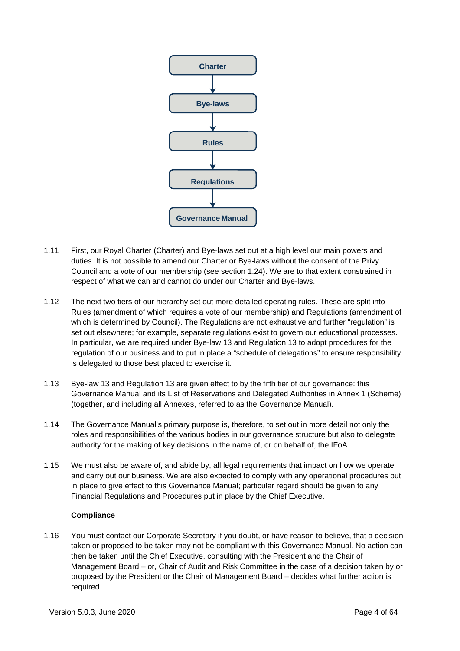

- 1.11 First, our Royal Charter (Charter) and Bye-laws set out at a high level our main powers and duties. It is not possible to amend our Charter or Bye-laws without the consent of the Privy Council and a vote of our membership (see section 1.24). We are to that extent constrained in respect of what we can and cannot do under our Charter and Bye-laws.
- 1.12 The next two tiers of our hierarchy set out more detailed operating rules. These are split into Rules (amendment of which requires a vote of our membership) and Regulations (amendment of which is determined by Council). The Regulations are not exhaustive and further "regulation" is set out elsewhere; for example, separate regulations exist to govern our educational processes. In particular, we are required under Bye-law 13 and Regulation 13 to adopt procedures for the regulation of our business and to put in place a "schedule of delegations" to ensure responsibility is delegated to those best placed to exercise it.
- 1.13 Bye-law 13 and Regulation 13 are given effect to by the fifth tier of our governance: this Governance Manual and its List of Reservations and Delegated Authorities in Annex 1 (Scheme) (together, and including all Annexes, referred to as the Governance Manual).
- 1.14 The Governance Manual's primary purpose is, therefore, to set out in more detail not only the roles and responsibilities of the various bodies in our governance structure but also to delegate authority for the making of key decisions in the name of, or on behalf of, the IFoA.
- 1.15 We must also be aware of, and abide by, all legal requirements that impact on how we operate and carry out our business. We are also expected to comply with any operational procedures put in place to give effect to this Governance Manual; particular regard should be given to any Financial Regulations and Procedures put in place by the Chief Executive.

### **Compliance**

1.16 You must contact our Corporate Secretary if you doubt, or have reason to believe, that a decision taken or proposed to be taken may not be compliant with this Governance Manual. No action can then be taken until the Chief Executive, consulting with the President and the Chair of Management Board – or, Chair of Audit and Risk Committee in the case of a decision taken by or proposed by the President or the Chair of Management Board – decides what further action is required.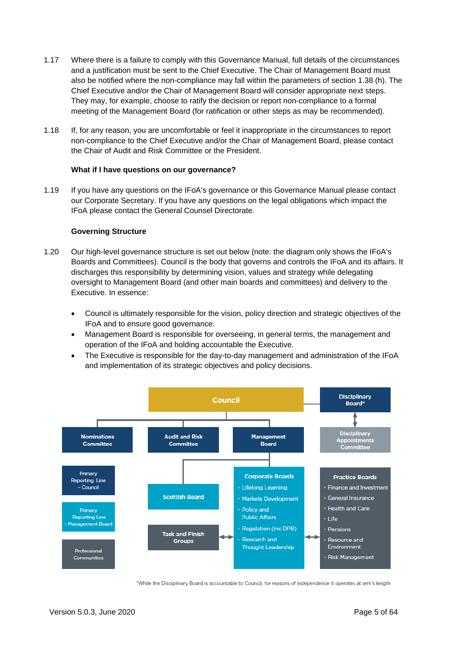- 1.17 Where there is a failure to comply with this Governance Manual, full details of the circumstances and a justification must be sent to the Chief Executive. The Chair of Management Board must also be notified where the non-compliance may fall within the parameters of section 1.38 (h). The Chief Executive and/or the Chair of Management Board will consider appropriate next steps. They may, for example, choose to ratify the decision or report non-compliance to a formal meeting of the Management Board (for ratification or other steps as may be recommended).
- 1.18 If, for any reason, you are uncomfortable or feel it inappropriate in the circumstances to report non-compliance to the Chief Executive and/or the Chair of Management Board, please contact the Chair of Audit and Risk Committee or the President.

### **What if I have questions on our governance?**

1.19 If you have any questions on the IFoA's governance or this Governance Manual please contact our Corporate Secretary. If you have any questions on the legal obligations which impact the IFoA please contact the General Counsel Directorate.

#### **Governing Structure**

- 1.20 Our high-level governance structure is set out below (note: the diagram only shows the IFoA's Boards and Committees). Council is the body that governs and controls the IFoA and its affairs. It discharges this responsibility by determining vision, values and strategy while delegating oversight to Management Board (and other main boards and committees) and delivery to the Executive. In essence:
	- Council is ultimately responsible for the vision, policy direction and strategic objectives of the IFoA and to ensure good governance.
	- Management Board is responsible for overseeing, in general terms, the management and operation of the IFoA and holding accountable the Executive.
	- The Executive is responsible for the day-to-day management and administration of the IFoA and implementation of its strategic objectives and policy decisions.



\*While the Disciplinary Board is accountable to Council, for reasons of independence it operates at arm's length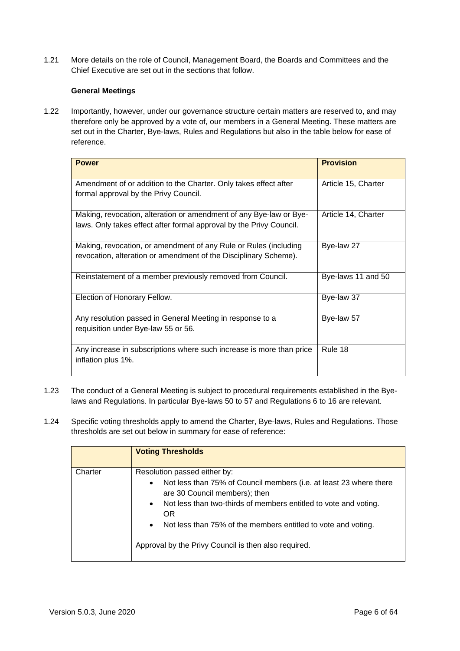1.21 More details on the role of Council, Management Board, the Boards and Committees and the Chief Executive are set out in the sections that follow.

## **General Meetings**

1.22 Importantly, however, under our governance structure certain matters are reserved to, and may therefore only be approved by a vote of, our members in a General Meeting. These matters are set out in the Charter, Bye-laws, Rules and Regulations but also in the table below for ease of reference.

| <b>Power</b>                                                                                                                              | <b>Provision</b>    |
|-------------------------------------------------------------------------------------------------------------------------------------------|---------------------|
| Amendment of or addition to the Charter. Only takes effect after<br>formal approval by the Privy Council.                                 | Article 15, Charter |
| Making, revocation, alteration or amendment of any Bye-law or Bye-<br>laws. Only takes effect after formal approval by the Privy Council. | Article 14, Charter |
| Making, revocation, or amendment of any Rule or Rules (including<br>revocation, alteration or amendment of the Disciplinary Scheme).      | Bye-law 27          |
| Reinstatement of a member previously removed from Council.                                                                                | Bye-laws 11 and 50  |
| Election of Honorary Fellow.                                                                                                              | Bye-law 37          |
| Any resolution passed in General Meeting in response to a<br>requisition under Bye-law 55 or 56.                                          | Bye-law 57          |
| Any increase in subscriptions where such increase is more than price<br>inflation plus 1%.                                                | Rule 18             |

- 1.23 The conduct of a General Meeting is subject to procedural requirements established in the Byelaws and Regulations. In particular Bye-laws 50 to 57 and Regulations 6 to 16 are relevant.
- 1.24 Specific voting thresholds apply to amend the Charter, Bye-laws, Rules and Regulations. Those thresholds are set out below in summary for ease of reference:

|         | <b>Voting Thresholds</b>                                                                                                                                                                                                                                                                                                                                                             |
|---------|--------------------------------------------------------------------------------------------------------------------------------------------------------------------------------------------------------------------------------------------------------------------------------------------------------------------------------------------------------------------------------------|
| Charter | Resolution passed either by:<br>Not less than 75% of Council members (i.e. at least 23 where there<br>$\bullet$<br>are 30 Council members); then<br>Not less than two-thirds of members entitled to vote and voting.<br>$\bullet$<br><b>OR</b><br>Not less than 75% of the members entitled to vote and voting.<br>$\bullet$<br>Approval by the Privy Council is then also required. |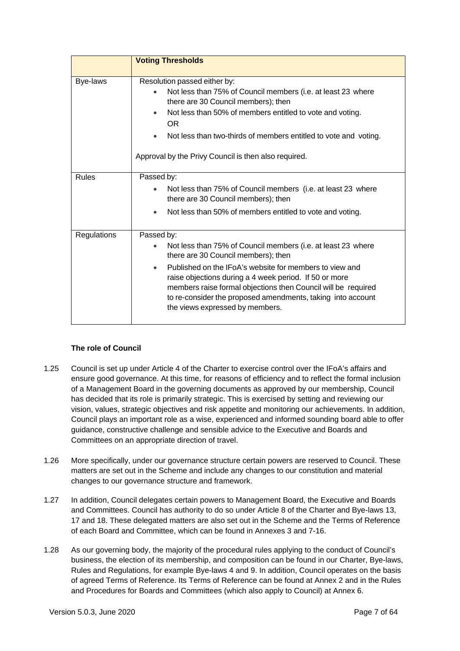|              | <b>Voting Thresholds</b>                                                                                                                                                                                                                                                                                                                                                                                                            |
|--------------|-------------------------------------------------------------------------------------------------------------------------------------------------------------------------------------------------------------------------------------------------------------------------------------------------------------------------------------------------------------------------------------------------------------------------------------|
| Bye-laws     | Resolution passed either by:<br>Not less than 75% of Council members (i.e. at least 23 where<br>there are 30 Council members); then<br>Not less than 50% of members entitled to vote and voting.<br>$\bullet$<br><b>OR</b><br>Not less than two-thirds of members entitled to vote and voting.<br>$\bullet$<br>Approval by the Privy Council is then also required.                                                                 |
| <b>Rules</b> | Passed by:<br>Not less than 75% of Council members (i.e. at least 23 where<br>there are 30 Council members); then<br>Not less than 50% of members entitled to vote and voting.                                                                                                                                                                                                                                                      |
| Regulations  | Passed by:<br>Not less than 75% of Council members (i.e. at least 23 where<br>$\bullet$<br>there are 30 Council members); then<br>Published on the IFoA's website for members to view and<br>$\bullet$<br>raise objections during a 4 week period. If 50 or more<br>members raise formal objections then Council will be required<br>to re-consider the proposed amendments, taking into account<br>the views expressed by members. |

# **The role of Council**

- 1.25 Council is set up under Article 4 of the Charter to exercise control over the IFoA's affairs and ensure good governance. At this time, for reasons of efficiency and to reflect the formal inclusion of a Management Board in the governing documents as approved by our membership, Council has decided that its role is primarily strategic. This is exercised by setting and reviewing our vision, values, strategic objectives and risk appetite and monitoring our achievements. In addition, Council plays an important role as a wise, experienced and informed sounding board able to offer guidance, constructive challenge and sensible advice to the Executive and Boards and Committees on an appropriate direction of travel.
- 1.26 More specifically, under our governance structure certain powers are reserved to Council. These matters are set out in the Scheme and include any changes to our constitution and material changes to our governance structure and framework.
- 1.27 In addition, Council delegates certain powers to Management Board, the Executive and Boards and Committees. Council has authority to do so under Article 8 of the Charter and Bye-laws 13, 17 and 18. These delegated matters are also set out in the Scheme and the Terms of Reference of each Board and Committee, which can be found in Annexes 3 and 7-16.
- 1.28 As our governing body, the majority of the procedural rules applying to the conduct of Council's business, the election of its membership, and composition can be found in our Charter, Bye-laws, Rules and Regulations, for example Bye-laws 4 and 9. In addition, Council operates on the basis of agreed Terms of Reference. Its Terms of Reference can be found at Annex 2 and in the Rules and Procedures for Boards and Committees (which also apply to Council) at Annex 6.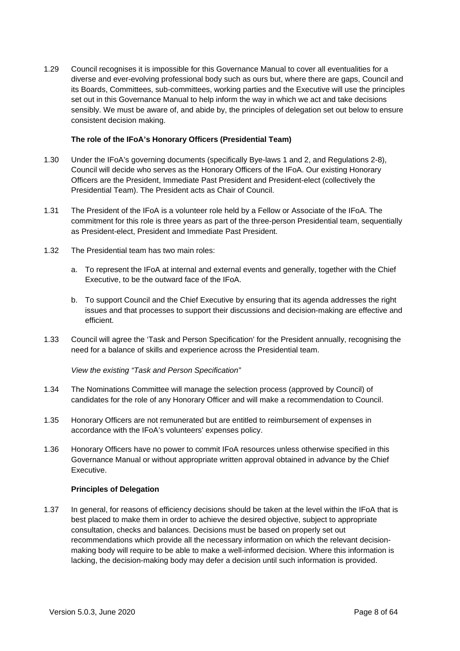1.29 Council recognises it is impossible for this Governance Manual to cover all eventualities for a diverse and ever-evolving professional body such as ours but, where there are gaps, Council and its Boards, Committees, sub-committees, working parties and the Executive will use the principles set out in this Governance Manual to help inform the way in which we act and take decisions sensibly. We must be aware of, and abide by, the principles of delegation set out below to ensure consistent decision making.

#### **The role of the IFoA's Honorary Officers (Presidential Team)**

- 1.30 Under the IFoA's governing documents (specifically Bye-laws 1 and 2, and Regulations 2-8), Council will decide who serves as the Honorary Officers of the IFoA. Our existing Honorary Officers are the President, Immediate Past President and President-elect (collectively the Presidential Team). The President acts as Chair of Council.
- 1.31 The President of the IFoA is a volunteer role held by a Fellow or Associate of the IFoA. The commitment for this role is three years as part of the three-person Presidential team, sequentially as President-elect, President and Immediate Past President.
- 1.32 The Presidential team has two main roles:
	- a. To represent the IFoA at internal and external events and generally, together with the Chief Executive, to be the outward face of the IFoA.
	- b. To support Council and the Chief Executive by ensuring that its agenda addresses the right issues and that processes to support their discussions and decision-making are effective and efficient.
- 1.33 Council will agree the 'Task and Person Specification' for the President annually, recognising the need for a balance of skills and experience across the Presidential team.

*View the existing "Task and Person Specification"*

- 1.34 The Nominations Committee will manage the selection process (approved by Council) of candidates for the role of any Honorary Officer and will make a recommendation to Council.
- 1.35 Honorary Officers are not remunerated but are entitled to reimbursement of expenses in accordance with the IFoA's volunteers' expenses policy.
- 1.36 Honorary Officers have no power to commit IFoA resources unless otherwise specified in this Governance Manual or without appropriate written approval obtained in advance by the Chief Executive.

### **Principles of Delegation**

1.37 In general, for reasons of efficiency decisions should be taken at the level within the IFoA that is best placed to make them in order to achieve the desired objective, subject to appropriate consultation, checks and balances. Decisions must be based on properly set out recommendations which provide all the necessary information on which the relevant decisionmaking body will require to be able to make a well-informed decision. Where this information is lacking, the decision-making body may defer a decision until such information is provided.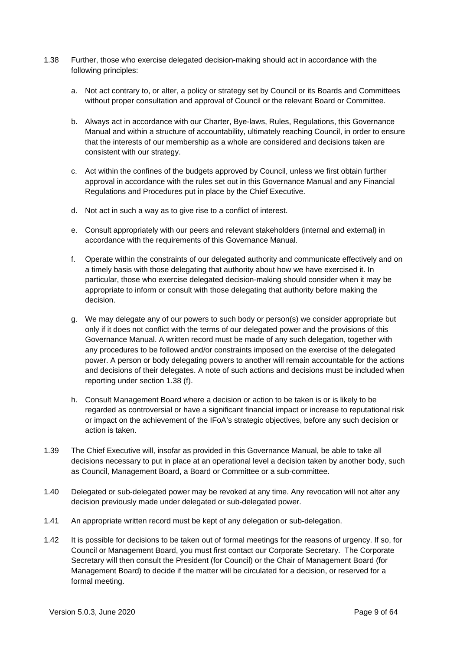- 1.38 Further, those who exercise delegated decision-making should act in accordance with the following principles:
	- a. Not act contrary to, or alter, a policy or strategy set by Council or its Boards and Committees without proper consultation and approval of Council or the relevant Board or Committee.
	- b. Always act in accordance with our Charter, Bye-laws, Rules, Regulations, this Governance Manual and within a structure of accountability, ultimately reaching Council, in order to ensure that the interests of our membership as a whole are considered and decisions taken are consistent with our strategy.
	- c. Act within the confines of the budgets approved by Council, unless we first obtain further approval in accordance with the rules set out in this Governance Manual and any Financial Regulations and Procedures put in place by the Chief Executive.
	- d. Not act in such a way as to give rise to a conflict of interest.
	- e. Consult appropriately with our peers and relevant stakeholders (internal and external) in accordance with the requirements of this Governance Manual.
	- f. Operate within the constraints of our delegated authority and communicate effectively and on a timely basis with those delegating that authority about how we have exercised it. In particular, those who exercise delegated decision-making should consider when it may be appropriate to inform or consult with those delegating that authority before making the decision.
	- g. We may delegate any of our powers to such body or person(s) we consider appropriate but only if it does not conflict with the terms of our delegated power and the provisions of this Governance Manual. A written record must be made of any such delegation, together with any procedures to be followed and/or constraints imposed on the exercise of the delegated power. A person or body delegating powers to another will remain accountable for the actions and decisions of their delegates. A note of such actions and decisions must be included when reporting under section 1.38 (f).
	- h. Consult Management Board where a decision or action to be taken is or is likely to be regarded as controversial or have a significant financial impact or increase to reputational risk or impact on the achievement of the IFoA's strategic objectives, before any such decision or action is taken.
- 1.39 The Chief Executive will, insofar as provided in this Governance Manual, be able to take all decisions necessary to put in place at an operational level a decision taken by another body, such as Council, Management Board, a Board or Committee or a sub-committee.
- 1.40 Delegated or sub-delegated power may be revoked at any time. Any revocation will not alter any decision previously made under delegated or sub-delegated power.
- 1.41 An appropriate written record must be kept of any delegation or sub-delegation.
- 1.42 It is possible for decisions to be taken out of formal meetings for the reasons of urgency. If so, for Council or Management Board, you must first contact our Corporate Secretary. The Corporate Secretary will then consult the President (for Council) or the Chair of Management Board (for Management Board) to decide if the matter will be circulated for a decision, or reserved for a formal meeting.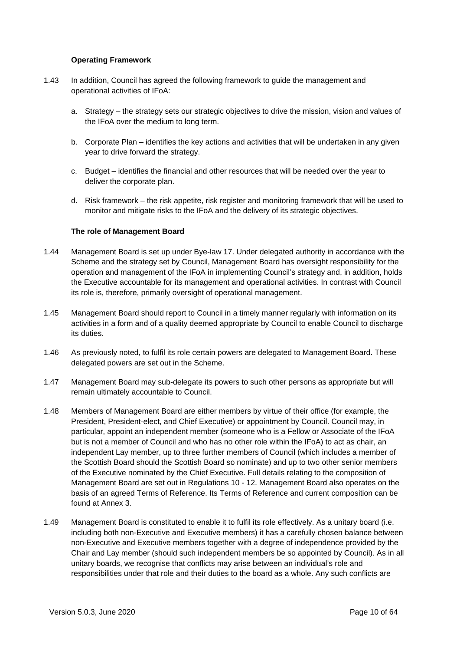#### **Operating Framework**

- 1.43 In addition, Council has agreed the following framework to guide the management and operational activities of IFoA:
	- a. Strategy the strategy sets our strategic objectives to drive the mission, vision and values of the IFoA over the medium to long term.
	- b. Corporate Plan identifies the key actions and activities that will be undertaken in any given year to drive forward the strategy.
	- c. Budget identifies the financial and other resources that will be needed over the year to deliver the corporate plan.
	- d. Risk framework the risk appetite, risk register and monitoring framework that will be used to monitor and mitigate risks to the IFoA and the delivery of its strategic objectives.

#### **The role of Management Board**

- 1.44 Management Board is set up under Bye-law 17. Under delegated authority in accordance with the Scheme and the strategy set by Council, Management Board has oversight responsibility for the operation and management of the IFoA in implementing Council's strategy and, in addition, holds the Executive accountable for its management and operational activities. In contrast with Council its role is, therefore, primarily oversight of operational management.
- 1.45 Management Board should report to Council in a timely manner regularly with information on its activities in a form and of a quality deemed appropriate by Council to enable Council to discharge its duties.
- 1.46 As previously noted, to fulfil its role certain powers are delegated to Management Board. These delegated powers are set out in the Scheme.
- 1.47 Management Board may sub-delegate its powers to such other persons as appropriate but will remain ultimately accountable to Council.
- 1.48 Members of Management Board are either members by virtue of their office (for example, the President, President-elect, and Chief Executive) or appointment by Council. Council may, in particular, appoint an independent member (someone who is a Fellow or Associate of the IFoA but is not a member of Council and who has no other role within the IFoA) to act as chair, an independent Lay member, up to three further members of Council (which includes a member of the Scottish Board should the Scottish Board so nominate) and up to two other senior members of the Executive nominated by the Chief Executive. Full details relating to the composition of Management Board are set out in Regulations 10 - 12. Management Board also operates on the basis of an agreed Terms of Reference. Its Terms of Reference and current composition can be found at Annex 3.
- 1.49 Management Board is constituted to enable it to fulfil its role effectively. As a unitary board (i.e. including both non-Executive and Executive members) it has a carefully chosen balance between non-Executive and Executive members together with a degree of independence provided by the Chair and Lay member (should such independent members be so appointed by Council). As in all unitary boards, we recognise that conflicts may arise between an individual's role and responsibilities under that role and their duties to the board as a whole. Any such conflicts are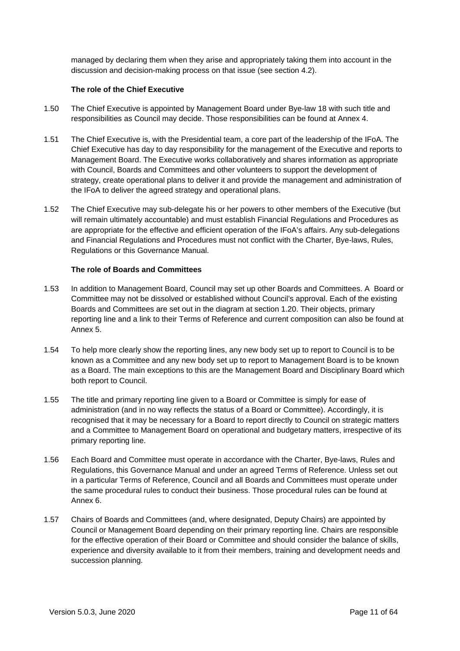managed by declaring them when they arise and appropriately taking them into account in the discussion and decision-making process on that issue (see section 4.2).

#### **The role of the Chief Executive**

- 1.50 The Chief Executive is appointed by Management Board under Bye-law 18 with such title and responsibilities as Council may decide. Those responsibilities can be found at Annex 4.
- 1.51 The Chief Executive is, with the Presidential team, a core part of the leadership of the IFoA. The Chief Executive has day to day responsibility for the management of the Executive and reports to Management Board. The Executive works collaboratively and shares information as appropriate with Council, Boards and Committees and other volunteers to support the development of strategy, create operational plans to deliver it and provide the management and administration of the IFoA to deliver the agreed strategy and operational plans.
- 1.52 The Chief Executive may sub-delegate his or her powers to other members of the Executive (but will remain ultimately accountable) and must establish Financial Regulations and Procedures as are appropriate for the effective and efficient operation of the IFoA's affairs. Any sub-delegations and Financial Regulations and Procedures must not conflict with the Charter, Bye-laws, Rules, Regulations or this Governance Manual.

#### **The role of Boards and Committees**

- 1.53 In addition to Management Board, Council may set up other Boards and Committees. A Board or Committee may not be dissolved or established without Council's approval. Each of the existing Boards and Committees are set out in the diagram at section 1.20. Their objects, primary reporting line and a link to their Terms of Reference and current composition can also be found at Annex 5.
- 1.54 To help more clearly show the reporting lines, any new body set up to report to Council is to be known as a Committee and any new body set up to report to Management Board is to be known as a Board. The main exceptions to this are the Management Board and Disciplinary Board which both report to Council.
- 1.55 The title and primary reporting line given to a Board or Committee is simply for ease of administration (and in no way reflects the status of a Board or Committee). Accordingly, it is recognised that it may be necessary for a Board to report directly to Council on strategic matters and a Committee to Management Board on operational and budgetary matters, irrespective of its primary reporting line.
- 1.56 Each Board and Committee must operate in accordance with the Charter, Bye-laws, Rules and Regulations, this Governance Manual and under an agreed Terms of Reference. Unless set out in a particular Terms of Reference, Council and all Boards and Committees must operate under the same procedural rules to conduct their business. Those procedural rules can be found at Annex 6.
- 1.57 Chairs of Boards and Committees (and, where designated, Deputy Chairs) are appointed by Council or Management Board depending on their primary reporting line. Chairs are responsible for the effective operation of their Board or Committee and should consider the balance of skills, experience and diversity available to it from their members, training and development needs and succession planning.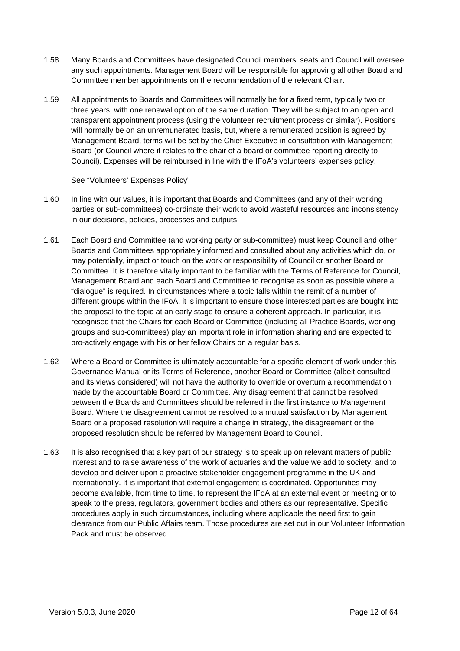- 1.58 Many Boards and Committees have designated Council members' seats and Council will oversee any such appointments. Management Board will be responsible for approving all other Board and Committee member appointments on the recommendation of the relevant Chair.
- 1.59 All appointments to Boards and Committees will normally be for a fixed term, typically two or three years, with one renewal option of the same duration. They will be subject to an open and transparent appointment process (using the volunteer recruitment process or similar). Positions will normally be on an unremunerated basis, but, where a remunerated position is agreed by Management Board, terms will be set by the Chief Executive in consultation with Management Board (or Council where it relates to the chair of a board or committee reporting directly to Council). Expenses will be reimbursed in line with the IFoA's volunteers' expenses policy.

See "Volunteers' Expenses Policy"

- 1.60 In line with our values, it is important that Boards and Committees (and any of their working parties or sub-committees) co-ordinate their work to avoid wasteful resources and inconsistency in our decisions, policies, processes and outputs.
- 1.61 Each Board and Committee (and working party or sub-committee) must keep Council and other Boards and Committees appropriately informed and consulted about any activities which do, or may potentially, impact or touch on the work or responsibility of Council or another Board or Committee. It is therefore vitally important to be familiar with the Terms of Reference for Council, Management Board and each Board and Committee to recognise as soon as possible where a "dialogue" is required. In circumstances where a topic falls within the remit of a number of different groups within the IFoA, it is important to ensure those interested parties are bought into the proposal to the topic at an early stage to ensure a coherent approach. In particular, it is recognised that the Chairs for each Board or Committee (including all Practice Boards, working groups and sub-committees) play an important role in information sharing and are expected to pro-actively engage with his or her fellow Chairs on a regular basis.
- 1.62 Where a Board or Committee is ultimately accountable for a specific element of work under this Governance Manual or its Terms of Reference, another Board or Committee (albeit consulted and its views considered) will not have the authority to override or overturn a recommendation made by the accountable Board or Committee. Any disagreement that cannot be resolved between the Boards and Committees should be referred in the first instance to Management Board. Where the disagreement cannot be resolved to a mutual satisfaction by Management Board or a proposed resolution will require a change in strategy, the disagreement or the proposed resolution should be referred by Management Board to Council.
- 1.63 It is also recognised that a key part of our strategy is to speak up on relevant matters of public interest and to raise awareness of the work of actuaries and the value we add to society, and to develop and deliver upon a proactive stakeholder engagement programme in the UK and internationally. It is important that external engagement is coordinated. Opportunities may become available, from time to time, to represent the IFoA at an external event or meeting or to speak to the press, regulators, government bodies and others as our representative. Specific procedures apply in such circumstances, including where applicable the need first to gain clearance from our Public Affairs team. Those procedures are set out in our Volunteer Information Pack and must be observed.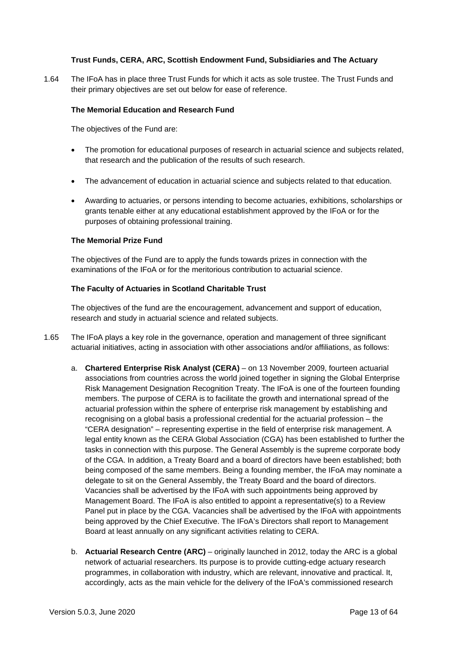#### **Trust Funds, CERA, ARC, Scottish Endowment Fund, Subsidiaries and The Actuary**

1.64 The IFoA has in place three Trust Funds for which it acts as sole trustee. The Trust Funds and their primary objectives are set out below for ease of reference.

#### **The Memorial Education and Research Fund**

The objectives of the Fund are:

- The promotion for educational purposes of research in actuarial science and subjects related, that research and the publication of the results of such research.
- The advancement of education in actuarial science and subjects related to that education.
- Awarding to actuaries, or persons intending to become actuaries, exhibitions, scholarships or grants tenable either at any educational establishment approved by the IFoA or for the purposes of obtaining professional training.

#### **The Memorial Prize Fund**

The objectives of the Fund are to apply the funds towards prizes in connection with the examinations of the IFoA or for the meritorious contribution to actuarial science.

#### **The Faculty of Actuaries in Scotland Charitable Trust**

The objectives of the fund are the encouragement, advancement and support of education, research and study in actuarial science and related subjects.

- 1.65 The IFoA plays a key role in the governance, operation and management of three significant actuarial initiatives, acting in association with other associations and/or affiliations, as follows:
	- a. **Chartered Enterprise Risk Analyst (CERA)** on 13 November 2009, fourteen actuarial associations from countries across the world joined together in signing the Global Enterprise Risk Management Designation Recognition Treaty. The IFoA is one of the fourteen founding members. The purpose of CERA is to facilitate the growth and international spread of the actuarial profession within the sphere of enterprise risk management by establishing and recognising on a global basis a professional credential for the actuarial profession – the "CERA designation" – representing expertise in the field of enterprise risk management. A legal entity known as the CERA Global Association (CGA) has been established to further the tasks in connection with this purpose. The General Assembly is the supreme corporate body of the CGA. In addition, a Treaty Board and a board of directors have been established; both being composed of the same members. Being a founding member, the IFoA may nominate a delegate to sit on the General Assembly, the Treaty Board and the board of directors. Vacancies shall be advertised by the IFoA with such appointments being approved by Management Board. The IFoA is also entitled to appoint a representative(s) to a Review Panel put in place by the CGA. Vacancies shall be advertised by the IFoA with appointments being approved by the Chief Executive. The IFoA's Directors shall report to Management Board at least annually on any significant activities relating to CERA.
	- b. **Actuarial Research Centre (ARC)** originally launched in 2012, today the ARC is a global network of actuarial researchers. Its purpose is to provide cutting-edge actuary research programmes, in collaboration with industry, which are relevant, innovative and practical. It, accordingly, acts as the main vehicle for the delivery of the IFoA's commissioned research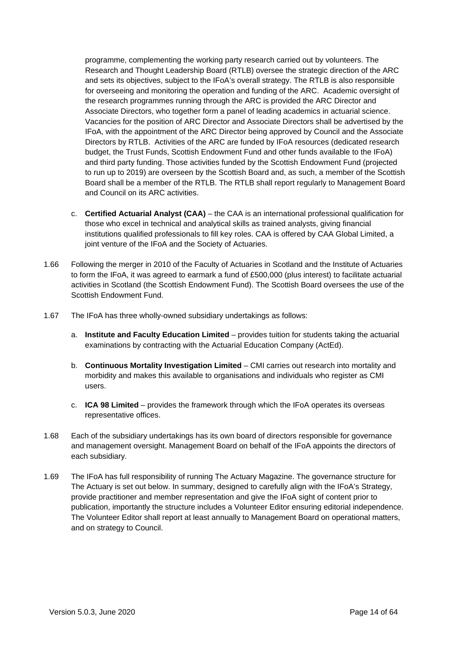programme, complementing the working party research carried out by volunteers. The Research and Thought Leadership Board (RTLB) oversee the strategic direction of the ARC and sets its objectives, subject to the IFoA's overall strategy. The RTLB is also responsible for overseeing and monitoring the operation and funding of the ARC. Academic oversight of the research programmes running through the ARC is provided the ARC Director and Associate Directors, who together form a panel of leading academics in actuarial science. Vacancies for the position of ARC Director and Associate Directors shall be advertised by the IFoA, with the appointment of the ARC Director being approved by Council and the Associate Directors by RTLB. Activities of the ARC are funded by IFoA resources (dedicated research budget, the Trust Funds, Scottish Endowment Fund and other funds available to the IFoA) and third party funding. Those activities funded by the Scottish Endowment Fund (projected to run up to 2019) are overseen by the Scottish Board and, as such, a member of the Scottish Board shall be a member of the RTLB. The RTLB shall report regularly to Management Board and Council on its ARC activities.

- c. **Certified Actuarial Analyst (CAA)** the CAA is an international professional qualification for those who excel in technical and analytical skills as trained analysts, giving financial institutions qualified professionals to fill key roles. CAA is offered by CAA Global Limited, a joint venture of the IFoA and the Society of Actuaries.
- 1.66 Following the merger in 2010 of the Faculty of Actuaries in Scotland and the Institute of Actuaries to form the IFoA, it was agreed to earmark a fund of £500,000 (plus interest) to facilitate actuarial activities in Scotland (the Scottish Endowment Fund). The Scottish Board oversees the use of the Scottish Endowment Fund.
- 1.67 The IFoA has three wholly-owned subsidiary undertakings as follows:
	- a. **Institute and Faculty Education Limited** provides tuition for students taking the actuarial examinations by contracting with the Actuarial Education Company (ActEd).
	- b. **Continuous Mortality Investigation Limited**  CMI carries out research into mortality and morbidity and makes this available to organisations and individuals who register as CMI users.
	- c. **ICA 98 Limited** provides the framework through which the IFoA operates its overseas representative offices.
- 1.68 Each of the subsidiary undertakings has its own board of directors responsible for governance and management oversight. Management Board on behalf of the IFoA appoints the directors of each subsidiary.
- 1.69 The IFoA has full responsibility of running The Actuary Magazine. The governance structure for The Actuary is set out below. In summary, designed to carefully align with the IFoA's Strategy, provide practitioner and member representation and give the IFoA sight of content prior to publication, importantly the structure includes a Volunteer Editor ensuring editorial independence. The Volunteer Editor shall report at least annually to Management Board on operational matters, and on strategy to Council.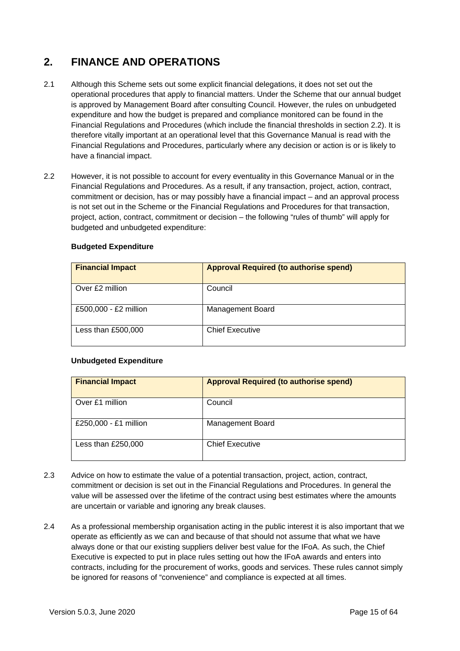# **2. FINANCE AND OPERATIONS**

- 2.1 Although this Scheme sets out some explicit financial delegations, it does not set out the operational procedures that apply to financial matters. Under the Scheme that our annual budget is approved by Management Board after consulting Council. However, the rules on unbudgeted expenditure and how the budget is prepared and compliance monitored can be found in the Financial Regulations and Procedures (which include the financial thresholds in section 2.2). It is therefore vitally important at an operational level that this Governance Manual is read with the Financial Regulations and Procedures, particularly where any decision or action is or is likely to have a financial impact.
- 2.2 However, it is not possible to account for every eventuality in this Governance Manual or in the Financial Regulations and Procedures. As a result, if any transaction, project, action, contract, commitment or decision, has or may possibly have a financial impact – and an approval process is not set out in the Scheme or the Financial Regulations and Procedures for that transaction, project, action, contract, commitment or decision – the following "rules of thumb" will apply for budgeted and unbudgeted expenditure:

### **Budgeted Expenditure**

| <b>Financial Impact</b> | <b>Approval Required (to authorise spend)</b> |
|-------------------------|-----------------------------------------------|
| Over £2 million         | Council                                       |
| £500,000 - £2 million   | <b>Management Board</b>                       |
| Less than $£500,000$    | <b>Chief Executive</b>                        |

## **Unbudgeted Expenditure**

| <b>Financial Impact</b> | <b>Approval Required (to authorise spend)</b> |
|-------------------------|-----------------------------------------------|
| Over £1 million         | Council                                       |
| £250,000 - £1 million   | <b>Management Board</b>                       |
| Less than £250,000      | <b>Chief Executive</b>                        |

- 2.3 Advice on how to estimate the value of a potential transaction, project, action, contract, commitment or decision is set out in the Financial Regulations and Procedures. In general the value will be assessed over the lifetime of the contract using best estimates where the amounts are uncertain or variable and ignoring any break clauses.
- 2.4 As a professional membership organisation acting in the public interest it is also important that we operate as efficiently as we can and because of that should not assume that what we have always done or that our existing suppliers deliver best value for the IFoA. As such, the Chief Executive is expected to put in place rules setting out how the IFoA awards and enters into contracts, including for the procurement of works, goods and services. These rules cannot simply be ignored for reasons of "convenience" and compliance is expected at all times.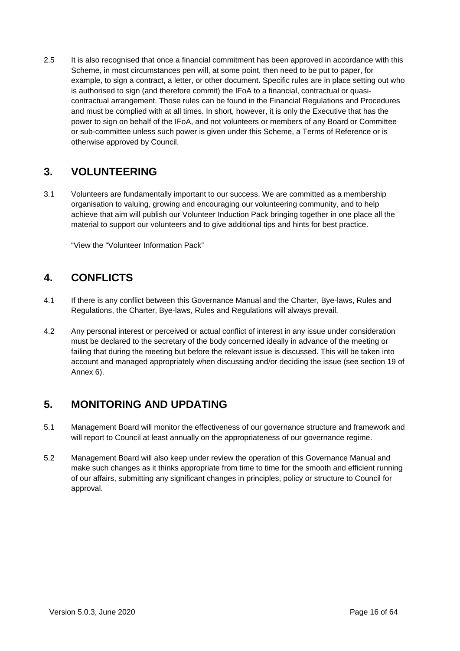2.5 It is also recognised that once a financial commitment has been approved in accordance with this Scheme, in most circumstances pen will, at some point, then need to be put to paper, for example, to sign a contract, a letter, or other document. Specific rules are in place setting out who is authorised to sign (and therefore commit) the IFoA to a financial, contractual or quasicontractual arrangement. Those rules can be found in the Financial Regulations and Procedures and must be complied with at all times. In short, however, it is only the Executive that has the power to sign on behalf of the IFoA, and not volunteers or members of any Board or Committee or sub-committee unless such power is given under this Scheme, a Terms of Reference or is otherwise approved by Council.

# **3. VOLUNTEERING**

3.1 Volunteers are fundamentally important to our success. We are committed as a membership organisation to valuing, growing and encouraging our volunteering community, and to help achieve that aim will publish our Volunteer Induction Pack bringing together in one place all the material to support our volunteers and to give additional tips and hints for best practice.

"View the "Volunteer Information Pack"

# **4. CONFLICTS**

- 4.1 If there is any conflict between this Governance Manual and the Charter, Bye-laws, Rules and Regulations, the Charter, Bye-laws, Rules and Regulations will always prevail.
- 4.2 Any personal interest or perceived or actual conflict of interest in any issue under consideration must be declared to the secretary of the body concerned ideally in advance of the meeting or failing that during the meeting but before the relevant issue is discussed. This will be taken into account and managed appropriately when discussing and/or deciding the issue (see section 19 of Annex 6).

# **5. MONITORING AND UPDATING**

- 5.1 Management Board will monitor the effectiveness of our governance structure and framework and will report to Council at least annually on the appropriateness of our governance regime.
- 5.2 Management Board will also keep under review the operation of this Governance Manual and make such changes as it thinks appropriate from time to time for the smooth and efficient running of our affairs, submitting any significant changes in principles, policy or structure to Council for approval.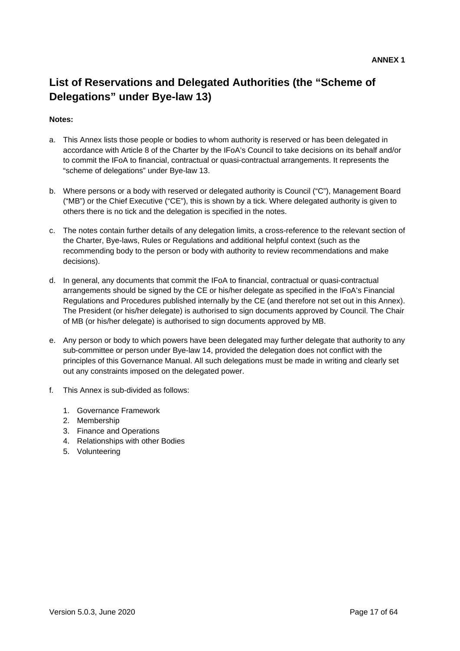# **List of Reservations and Delegated Authorities (the "Scheme of Delegations" under Bye-law 13)**

# **Notes:**

- a. This Annex lists those people or bodies to whom authority is reserved or has been delegated in accordance with Article 8 of the Charter by the IFoA's Council to take decisions on its behalf and/or to commit the IFoA to financial, contractual or quasi-contractual arrangements. It represents the "scheme of delegations" under Bye-law 13.
- b. Where persons or a body with reserved or delegated authority is Council ("C"), Management Board ("MB") or the Chief Executive ("CE"), this is shown by a tick. Where delegated authority is given to others there is no tick and the delegation is specified in the notes.
- c. The notes contain further details of any delegation limits, a cross-reference to the relevant section of the Charter, Bye-laws, Rules or Regulations and additional helpful context (such as the recommending body to the person or body with authority to review recommendations and make decisions).
- d. In general, any documents that commit the IFoA to financial, contractual or quasi-contractual arrangements should be signed by the CE or his/her delegate as specified in the IFoA's Financial Regulations and Procedures published internally by the CE (and therefore not set out in this Annex). The President (or his/her delegate) is authorised to sign documents approved by Council. The Chair of MB (or his/her delegate) is authorised to sign documents approved by MB.
- e. Any person or body to which powers have been delegated may further delegate that authority to any sub-committee or person under Bye-law 14, provided the delegation does not conflict with the principles of this Governance Manual. All such delegations must be made in writing and clearly set out any constraints imposed on the delegated power.
- f. This Annex is sub-divided as follows:
	- 1. Governance Framework
	- 2. Membership
	- 3. Finance and Operations
	- 4. Relationships with other Bodies
	- 5. Volunteering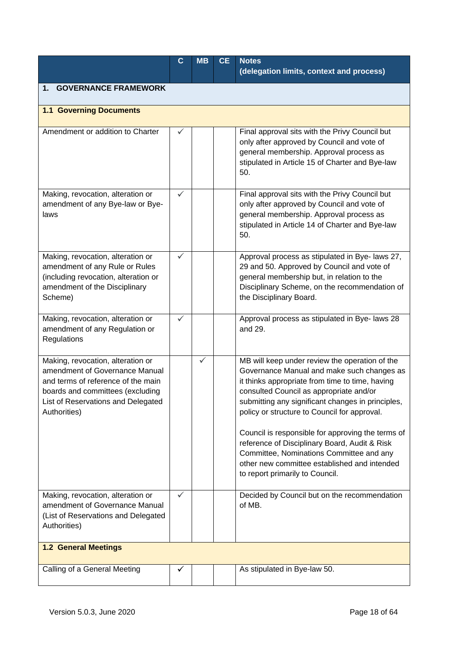|                                                                                                                                                                                                     | $\mathbf C$ | <b>MB</b> | <b>CE</b> | <b>Notes</b><br>(delegation limits, context and process)                                                                                                                                                                                                                                                                                                                                                                                                                                                                             |  |  |  |
|-----------------------------------------------------------------------------------------------------------------------------------------------------------------------------------------------------|-------------|-----------|-----------|--------------------------------------------------------------------------------------------------------------------------------------------------------------------------------------------------------------------------------------------------------------------------------------------------------------------------------------------------------------------------------------------------------------------------------------------------------------------------------------------------------------------------------------|--|--|--|
| <b>GOVERNANCE FRAMEWORK</b><br>1.                                                                                                                                                                   |             |           |           |                                                                                                                                                                                                                                                                                                                                                                                                                                                                                                                                      |  |  |  |
| <b>1.1 Governing Documents</b>                                                                                                                                                                      |             |           |           |                                                                                                                                                                                                                                                                                                                                                                                                                                                                                                                                      |  |  |  |
| Amendment or addition to Charter                                                                                                                                                                    | ✓           |           |           | Final approval sits with the Privy Council but<br>only after approved by Council and vote of<br>general membership. Approval process as<br>stipulated in Article 15 of Charter and Bye-law<br>50.                                                                                                                                                                                                                                                                                                                                    |  |  |  |
| Making, revocation, alteration or<br>amendment of any Bye-law or Bye-<br>laws                                                                                                                       | ✓           |           |           | Final approval sits with the Privy Council but<br>only after approved by Council and vote of<br>general membership. Approval process as<br>stipulated in Article 14 of Charter and Bye-law<br>50.                                                                                                                                                                                                                                                                                                                                    |  |  |  |
| Making, revocation, alteration or<br>amendment of any Rule or Rules<br>(including revocation, alteration or<br>amendment of the Disciplinary<br>Scheme)                                             | ✓           |           |           | Approval process as stipulated in Bye- laws 27,<br>29 and 50. Approved by Council and vote of<br>general membership but, in relation to the<br>Disciplinary Scheme, on the recommendation of<br>the Disciplinary Board.                                                                                                                                                                                                                                                                                                              |  |  |  |
| Making, revocation, alteration or<br>amendment of any Regulation or<br>Regulations                                                                                                                  | ✓           |           |           | Approval process as stipulated in Bye- laws 28<br>and 29.                                                                                                                                                                                                                                                                                                                                                                                                                                                                            |  |  |  |
| Making, revocation, alteration or<br>amendment of Governance Manual<br>and terms of reference of the main<br>boards and committees (excluding<br>List of Reservations and Delegated<br>Authorities) |             | ✓         |           | MB will keep under review the operation of the<br>Governance Manual and make such changes as<br>it thinks appropriate from time to time, having<br>consulted Council as appropriate and/or<br>submitting any significant changes in principles,<br>policy or structure to Council for approval.<br>Council is responsible for approving the terms of<br>reference of Disciplinary Board, Audit & Risk<br>Committee, Nominations Committee and any<br>other new committee established and intended<br>to report primarily to Council. |  |  |  |
| Making, revocation, alteration or<br>amendment of Governance Manual<br>(List of Reservations and Delegated<br>Authorities)                                                                          | ✓           |           |           | Decided by Council but on the recommendation<br>of MB.                                                                                                                                                                                                                                                                                                                                                                                                                                                                               |  |  |  |
| <b>1.2 General Meetings</b>                                                                                                                                                                         |             |           |           |                                                                                                                                                                                                                                                                                                                                                                                                                                                                                                                                      |  |  |  |
| Calling of a General Meeting                                                                                                                                                                        | ✓           |           |           | As stipulated in Bye-law 50.                                                                                                                                                                                                                                                                                                                                                                                                                                                                                                         |  |  |  |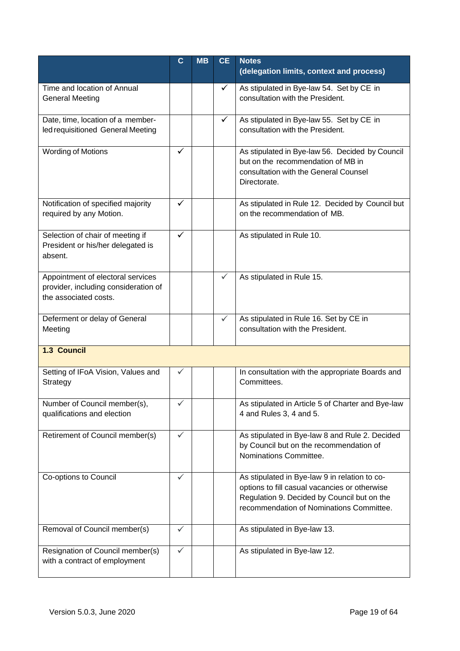|                                                                                                    | $\mathbf C$  | <b>MB</b> | <b>CE</b> | <b>Notes</b><br>(delegation limits, context and process)                                                                                                                                  |
|----------------------------------------------------------------------------------------------------|--------------|-----------|-----------|-------------------------------------------------------------------------------------------------------------------------------------------------------------------------------------------|
| Time and location of Annual<br><b>General Meeting</b>                                              |              |           |           | As stipulated in Bye-law 54. Set by CE in<br>consultation with the President.                                                                                                             |
| Date, time, location of a member-<br>led requisitioned General Meeting                             |              |           | ✓         | As stipulated in Bye-law 55. Set by CE in<br>consultation with the President.                                                                                                             |
| <b>Wording of Motions</b>                                                                          | $\checkmark$ |           |           | As stipulated in Bye-law 56. Decided by Council<br>but on the recommendation of MB in<br>consultation with the General Counsel<br>Directorate.                                            |
| Notification of specified majority<br>required by any Motion.                                      | ✓            |           |           | As stipulated in Rule 12. Decided by Council but<br>on the recommendation of MB.                                                                                                          |
| Selection of chair of meeting if<br>President or his/her delegated is<br>absent.                   | $\checkmark$ |           |           | As stipulated in Rule 10.                                                                                                                                                                 |
| Appointment of electoral services<br>provider, including consideration of<br>the associated costs. |              |           | ✓         | As stipulated in Rule 15.                                                                                                                                                                 |
| Deferment or delay of General<br>Meeting                                                           |              |           | ✓         | As stipulated in Rule 16. Set by CE in<br>consultation with the President.                                                                                                                |
| 1.3 Council                                                                                        |              |           |           |                                                                                                                                                                                           |
| Setting of IFoA Vision, Values and<br>Strategy                                                     | ✓            |           |           | In consultation with the appropriate Boards and<br>Committees.                                                                                                                            |
| Number of Council member(s),<br>qualifications and election                                        | ✓            |           |           | As stipulated in Article 5 of Charter and Bye-law<br>4 and Rules 3, 4 and 5.                                                                                                              |
| Retirement of Council member(s)                                                                    | ✓            |           |           | As stipulated in Bye-law 8 and Rule 2. Decided<br>by Council but on the recommendation of<br>Nominations Committee.                                                                       |
| Co-options to Council                                                                              | $\checkmark$ |           |           | As stipulated in Bye-law 9 in relation to co-<br>options to fill casual vacancies or otherwise<br>Regulation 9. Decided by Council but on the<br>recommendation of Nominations Committee. |
| Removal of Council member(s)                                                                       | $\checkmark$ |           |           | As stipulated in Bye-law 13.                                                                                                                                                              |
| Resignation of Council member(s)<br>with a contract of employment                                  | $\checkmark$ |           |           | As stipulated in Bye-law 12.                                                                                                                                                              |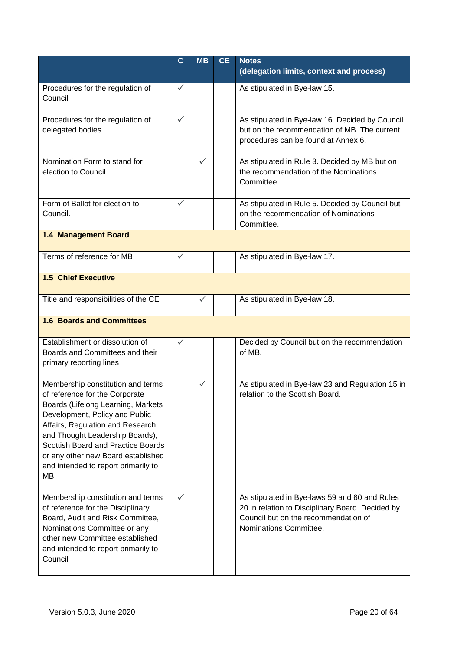|                                                                                                                                                                                                                                                                                                                                             | $\mathbf{C}$ | <b>MB</b> | <b>CE</b> | <b>Notes</b><br>(delegation limits, context and process)                                                                                                            |  |  |
|---------------------------------------------------------------------------------------------------------------------------------------------------------------------------------------------------------------------------------------------------------------------------------------------------------------------------------------------|--------------|-----------|-----------|---------------------------------------------------------------------------------------------------------------------------------------------------------------------|--|--|
| Procedures for the regulation of<br>Council                                                                                                                                                                                                                                                                                                 | ✓            |           |           | As stipulated in Bye-law 15.                                                                                                                                        |  |  |
| Procedures for the regulation of<br>delegated bodies                                                                                                                                                                                                                                                                                        | $\checkmark$ |           |           | As stipulated in Bye-law 16. Decided by Council<br>but on the recommendation of MB. The current<br>procedures can be found at Annex 6.                              |  |  |
| Nomination Form to stand for<br>election to Council                                                                                                                                                                                                                                                                                         |              | ✓         |           | As stipulated in Rule 3. Decided by MB but on<br>the recommendation of the Nominations<br>Committee.                                                                |  |  |
| Form of Ballot for election to<br>Council.                                                                                                                                                                                                                                                                                                  | $\checkmark$ |           |           | As stipulated in Rule 5. Decided by Council but<br>on the recommendation of Nominations<br>Committee.                                                               |  |  |
| 1.4 Management Board                                                                                                                                                                                                                                                                                                                        |              |           |           |                                                                                                                                                                     |  |  |
| Terms of reference for MB                                                                                                                                                                                                                                                                                                                   | ✓            |           |           | As stipulated in Bye-law 17.                                                                                                                                        |  |  |
| <b>1.5 Chief Executive</b>                                                                                                                                                                                                                                                                                                                  |              |           |           |                                                                                                                                                                     |  |  |
| Title and responsibilities of the CE                                                                                                                                                                                                                                                                                                        |              | ✓         |           | As stipulated in Bye-law 18.                                                                                                                                        |  |  |
| <b>1.6 Boards and Committees</b>                                                                                                                                                                                                                                                                                                            |              |           |           |                                                                                                                                                                     |  |  |
| Establishment or dissolution of<br>Boards and Committees and their<br>primary reporting lines                                                                                                                                                                                                                                               | ✓            |           |           | Decided by Council but on the recommendation<br>of MB.                                                                                                              |  |  |
| Membership constitution and terms<br>of reference for the Corporate<br>Boards (Lifelong Learning, Markets<br>Development, Policy and Public<br>Affairs, Regulation and Research<br>and Thought Leadership Boards),<br>Scottish Board and Practice Boards<br>or any other new Board established<br>and intended to report primarily to<br>MВ |              | ✓         |           | As stipulated in Bye-law 23 and Regulation 15 in<br>relation to the Scottish Board.                                                                                 |  |  |
| Membership constitution and terms<br>of reference for the Disciplinary<br>Board, Audit and Risk Committee,<br>Nominations Committee or any<br>other new Committee established<br>and intended to report primarily to<br>Council                                                                                                             | $\checkmark$ |           |           | As stipulated in Bye-laws 59 and 60 and Rules<br>20 in relation to Disciplinary Board. Decided by<br>Council but on the recommendation of<br>Nominations Committee. |  |  |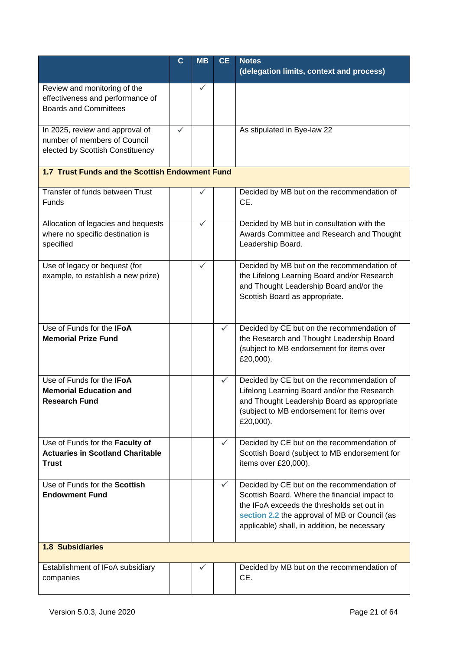|                                                                                                     | $\mathbf c$ | <b>MB</b>    | <b>CE</b>    | <b>Notes</b>                                                                                                                                                                                                                               |  |  |
|-----------------------------------------------------------------------------------------------------|-------------|--------------|--------------|--------------------------------------------------------------------------------------------------------------------------------------------------------------------------------------------------------------------------------------------|--|--|
|                                                                                                     |             |              |              | (delegation limits, context and process)                                                                                                                                                                                                   |  |  |
| Review and monitoring of the<br>effectiveness and performance of<br><b>Boards and Committees</b>    |             | ✓            |              |                                                                                                                                                                                                                                            |  |  |
| In 2025, review and approval of<br>number of members of Council<br>elected by Scottish Constituency | ✓           |              |              | As stipulated in Bye-law 22                                                                                                                                                                                                                |  |  |
| 1.7 Trust Funds and the Scottish Endowment Fund                                                     |             |              |              |                                                                                                                                                                                                                                            |  |  |
| Transfer of funds between Trust<br>Funds                                                            |             |              |              | Decided by MB but on the recommendation of<br>CE.                                                                                                                                                                                          |  |  |
| Allocation of legacies and bequests<br>where no specific destination is<br>specified                |             | ✓            |              | Decided by MB but in consultation with the<br>Awards Committee and Research and Thought<br>Leadership Board.                                                                                                                               |  |  |
| Use of legacy or bequest (for<br>example, to establish a new prize)                                 |             | $\checkmark$ |              | Decided by MB but on the recommendation of<br>the Lifelong Learning Board and/or Research<br>and Thought Leadership Board and/or the<br>Scottish Board as appropriate.                                                                     |  |  |
| Use of Funds for the IFoA<br><b>Memorial Prize Fund</b>                                             |             |              | $\checkmark$ | Decided by CE but on the recommendation of<br>the Research and Thought Leadership Board<br>(subject to MB endorsement for items over<br>£20,000).                                                                                          |  |  |
| Use of Funds for the IFoA<br><b>Memorial Education and</b><br><b>Research Fund</b>                  |             |              | ✓            | Decided by CE but on the recommendation of<br>Lifelong Learning Board and/or the Research<br>and Thought Leadership Board as appropriate<br>(subject to MB endorsement for items over<br>£20,000).                                         |  |  |
| Use of Funds for the Faculty of<br><b>Actuaries in Scotland Charitable</b><br><b>Trust</b>          |             |              | $\checkmark$ | Decided by CE but on the recommendation of<br>Scottish Board (subject to MB endorsement for<br>items over £20,000).                                                                                                                        |  |  |
| Use of Funds for the Scottish<br><b>Endowment Fund</b>                                              |             |              | $\checkmark$ | Decided by CE but on the recommendation of<br>Scottish Board. Where the financial impact to<br>the IFoA exceeds the thresholds set out in<br>section 2.2 the approval of MB or Council (as<br>applicable) shall, in addition, be necessary |  |  |
| <b>1.8 Subsidiaries</b>                                                                             |             |              |              |                                                                                                                                                                                                                                            |  |  |
| Establishment of IFoA subsidiary<br>companies                                                       |             | $\checkmark$ |              | Decided by MB but on the recommendation of<br>CE.                                                                                                                                                                                          |  |  |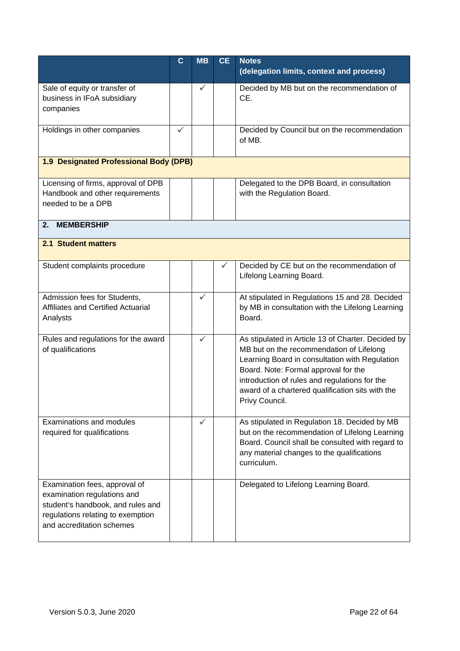|                                                                                                                                                                     | $\mathbf C$ | <b>MB</b>    | <b>CE</b> | <b>Notes</b><br>(delegation limits, context and process)                                                                                                                                                                                                                                                        |
|---------------------------------------------------------------------------------------------------------------------------------------------------------------------|-------------|--------------|-----------|-----------------------------------------------------------------------------------------------------------------------------------------------------------------------------------------------------------------------------------------------------------------------------------------------------------------|
| Sale of equity or transfer of<br>business in IFoA subsidiary<br>companies                                                                                           |             | $\checkmark$ |           | Decided by MB but on the recommendation of<br>CE.                                                                                                                                                                                                                                                               |
| Holdings in other companies                                                                                                                                         | ✓           |              |           | Decided by Council but on the recommendation<br>of MB.                                                                                                                                                                                                                                                          |
| 1.9 Designated Professional Body (DPB)                                                                                                                              |             |              |           |                                                                                                                                                                                                                                                                                                                 |
| Licensing of firms, approval of DPB<br>Handbook and other requirements<br>needed to be a DPB                                                                        |             |              |           | Delegated to the DPB Board, in consultation<br>with the Regulation Board.                                                                                                                                                                                                                                       |
| <b>MEMBERSHIP</b><br>2.                                                                                                                                             |             |              |           |                                                                                                                                                                                                                                                                                                                 |
| 2.1 Student matters                                                                                                                                                 |             |              |           |                                                                                                                                                                                                                                                                                                                 |
| Student complaints procedure                                                                                                                                        |             |              |           | Decided by CE but on the recommendation of<br>Lifelong Learning Board.                                                                                                                                                                                                                                          |
| Admission fees for Students,<br>Affiliates and Certified Actuarial<br>Analysts                                                                                      |             | ✓            |           | At stipulated in Regulations 15 and 28. Decided<br>by MB in consultation with the Lifelong Learning<br>Board.                                                                                                                                                                                                   |
| Rules and regulations for the award<br>of qualifications                                                                                                            |             | ✓            |           | As stipulated in Article 13 of Charter. Decided by<br>MB but on the recommendation of Lifelong<br>Learning Board in consultation with Regulation<br>Board. Note: Formal approval for the<br>introduction of rules and regulations for the<br>award of a chartered qualification sits with the<br>Privy Council. |
| Examinations and modules<br>required for qualifications                                                                                                             |             | ✓            |           | As stipulated in Regulation 18. Decided by MB<br>but on the recommendation of Lifelong Learning<br>Board. Council shall be consulted with regard to<br>any material changes to the qualifications<br>curriculum.                                                                                                |
| Examination fees, approval of<br>examination regulations and<br>student's handbook, and rules and<br>regulations relating to exemption<br>and accreditation schemes |             |              |           | Delegated to Lifelong Learning Board.                                                                                                                                                                                                                                                                           |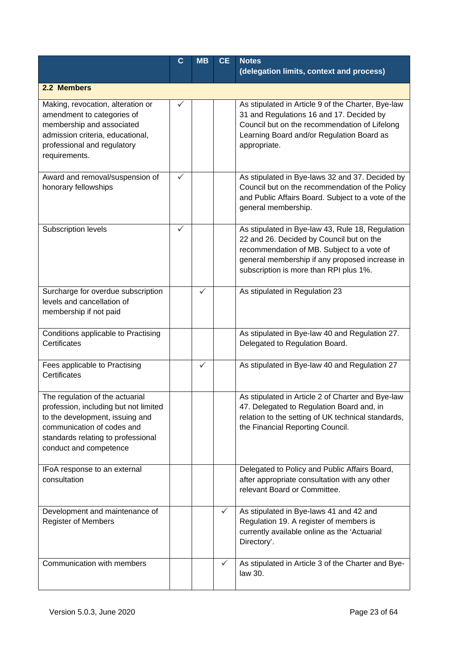|                                                                                                                                                                                                           | $\mathbf{C}$ | <b>MB</b> | <b>CE</b>    | <b>Notes</b>                                                                                                                                                                                                                           |
|-----------------------------------------------------------------------------------------------------------------------------------------------------------------------------------------------------------|--------------|-----------|--------------|----------------------------------------------------------------------------------------------------------------------------------------------------------------------------------------------------------------------------------------|
|                                                                                                                                                                                                           |              |           |              | (delegation limits, context and process)                                                                                                                                                                                               |
| 2.2 Members                                                                                                                                                                                               |              |           |              |                                                                                                                                                                                                                                        |
| Making, revocation, alteration or<br>amendment to categories of<br>membership and associated<br>admission criteria, educational,<br>professional and regulatory<br>requirements.                          | ✓            |           |              | As stipulated in Article 9 of the Charter, Bye-law<br>31 and Regulations 16 and 17. Decided by<br>Council but on the recommendation of Lifelong<br>Learning Board and/or Regulation Board as<br>appropriate.                           |
| Award and removal/suspension of<br>honorary fellowships                                                                                                                                                   | ✓            |           |              | As stipulated in Bye-laws 32 and 37. Decided by<br>Council but on the recommendation of the Policy<br>and Public Affairs Board. Subject to a vote of the<br>general membership.                                                        |
| Subscription levels                                                                                                                                                                                       | $\checkmark$ |           |              | As stipulated in Bye-law 43, Rule 18, Regulation<br>22 and 26. Decided by Council but on the<br>recommendation of MB. Subject to a vote of<br>general membership if any proposed increase in<br>subscription is more than RPI plus 1%. |
| Surcharge for overdue subscription<br>levels and cancellation of<br>membership if not paid                                                                                                                |              |           |              | As stipulated in Regulation 23                                                                                                                                                                                                         |
| Conditions applicable to Practising<br>Certificates                                                                                                                                                       |              |           |              | As stipulated in Bye-law 40 and Regulation 27.<br>Delegated to Regulation Board.                                                                                                                                                       |
| Fees applicable to Practising<br>Certificates                                                                                                                                                             |              | ✓         |              | As stipulated in Bye-law 40 and Regulation 27                                                                                                                                                                                          |
| The regulation of the actuarial<br>profession, including but not limited<br>to the development, issuing and<br>communication of codes and<br>standards relating to professional<br>conduct and competence |              |           |              | As stipulated in Article 2 of Charter and Bye-law<br>47. Delegated to Regulation Board and, in<br>relation to the setting of UK technical standards,<br>the Financial Reporting Council.                                               |
| IFoA response to an external<br>consultation                                                                                                                                                              |              |           |              | Delegated to Policy and Public Affairs Board,<br>after appropriate consultation with any other<br>relevant Board or Committee.                                                                                                         |
| Development and maintenance of<br><b>Register of Members</b>                                                                                                                                              |              |           |              | As stipulated in Bye-laws 41 and 42 and<br>Regulation 19. A register of members is<br>currently available online as the 'Actuarial<br>Directory'.                                                                                      |
| Communication with members                                                                                                                                                                                |              |           | $\checkmark$ | As stipulated in Article 3 of the Charter and Bye-<br>law 30.                                                                                                                                                                          |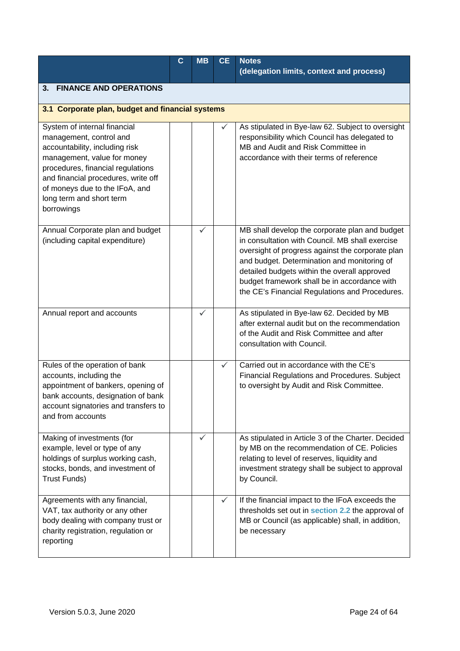|                                                                                                                                                                                                                                                                                  | $\mathbf c$ | <b>MB</b> | <b>CE</b> | <b>Notes</b><br>(delegation limits, context and process)                                                                                                                                                                                                                                                                                               |
|----------------------------------------------------------------------------------------------------------------------------------------------------------------------------------------------------------------------------------------------------------------------------------|-------------|-----------|-----------|--------------------------------------------------------------------------------------------------------------------------------------------------------------------------------------------------------------------------------------------------------------------------------------------------------------------------------------------------------|
| <b>FINANCE AND OPERATIONS</b><br>3.                                                                                                                                                                                                                                              |             |           |           |                                                                                                                                                                                                                                                                                                                                                        |
| 3.1 Corporate plan, budget and financial systems                                                                                                                                                                                                                                 |             |           |           |                                                                                                                                                                                                                                                                                                                                                        |
| System of internal financial<br>management, control and<br>accountability, including risk<br>management, value for money<br>procedures, financial regulations<br>and financial procedures, write off<br>of moneys due to the IFoA, and<br>long term and short term<br>borrowings |             |           |           | As stipulated in Bye-law 62. Subject to oversight<br>responsibility which Council has delegated to<br>MB and Audit and Risk Committee in<br>accordance with their terms of reference                                                                                                                                                                   |
| Annual Corporate plan and budget<br>(including capital expenditure)                                                                                                                                                                                                              |             | ✓         |           | MB shall develop the corporate plan and budget<br>in consultation with Council. MB shall exercise<br>oversight of progress against the corporate plan<br>and budget. Determination and monitoring of<br>detailed budgets within the overall approved<br>budget framework shall be in accordance with<br>the CE's Financial Regulations and Procedures. |
| Annual report and accounts                                                                                                                                                                                                                                                       |             | ✓         |           | As stipulated in Bye-law 62. Decided by MB<br>after external audit but on the recommendation<br>of the Audit and Risk Committee and after<br>consultation with Council.                                                                                                                                                                                |
| Rules of the operation of bank<br>accounts, including the<br>appointment of bankers, opening of<br>bank accounts, designation of bank<br>account signatories and transfers to<br>and from accounts                                                                               |             |           | ✓         | Carried out in accordance with the CE's<br><b>Financial Regulations and Procedures. Subject</b><br>to oversight by Audit and Risk Committee.                                                                                                                                                                                                           |
| Making of investments (for<br>example, level or type of any<br>holdings of surplus working cash,<br>stocks, bonds, and investment of<br><b>Trust Funds)</b>                                                                                                                      |             | ✓         |           | As stipulated in Article 3 of the Charter. Decided<br>by MB on the recommendation of CE. Policies<br>relating to level of reserves, liquidity and<br>investment strategy shall be subject to approval<br>by Council.                                                                                                                                   |
| Agreements with any financial,<br>VAT, tax authority or any other<br>body dealing with company trust or<br>charity registration, regulation or<br>reporting                                                                                                                      |             |           | ✓         | If the financial impact to the IFoA exceeds the<br>thresholds set out in section 2.2 the approval of<br>MB or Council (as applicable) shall, in addition,<br>be necessary                                                                                                                                                                              |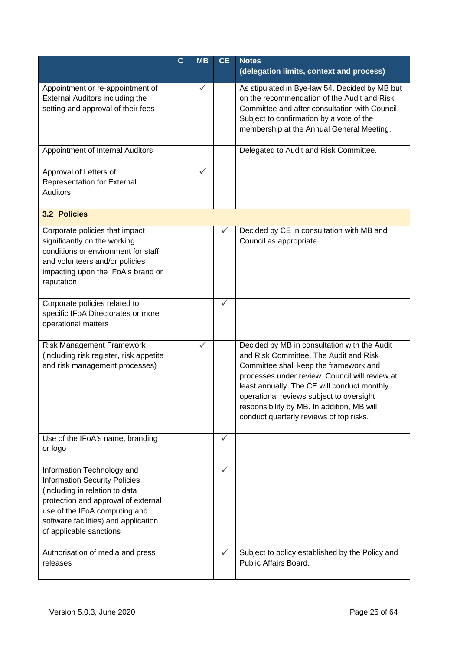|                                                                                                                                                                                                                                                 | $\mathbf C$ | <b>MB</b>    | <b>CE</b>    | <b>Notes</b><br>(delegation limits, context and process)                                                                                                                                                                                                                                                                                                               |
|-------------------------------------------------------------------------------------------------------------------------------------------------------------------------------------------------------------------------------------------------|-------------|--------------|--------------|------------------------------------------------------------------------------------------------------------------------------------------------------------------------------------------------------------------------------------------------------------------------------------------------------------------------------------------------------------------------|
| Appointment or re-appointment of<br>External Auditors including the<br>setting and approval of their fees                                                                                                                                       |             |              |              | As stipulated in Bye-law 54. Decided by MB but<br>on the recommendation of the Audit and Risk<br>Committee and after consultation with Council.<br>Subject to confirmation by a vote of the<br>membership at the Annual General Meeting.                                                                                                                               |
| Appointment of Internal Auditors                                                                                                                                                                                                                |             |              |              | Delegated to Audit and Risk Committee.                                                                                                                                                                                                                                                                                                                                 |
| Approval of Letters of<br><b>Representation for External</b><br><b>Auditors</b>                                                                                                                                                                 |             | ✓            |              |                                                                                                                                                                                                                                                                                                                                                                        |
| 3.2 Policies                                                                                                                                                                                                                                    |             |              |              |                                                                                                                                                                                                                                                                                                                                                                        |
| Corporate policies that impact<br>significantly on the working<br>conditions or environment for staff<br>and volunteers and/or policies<br>impacting upon the IFoA's brand or<br>reputation                                                     |             |              | ✓            | Decided by CE in consultation with MB and<br>Council as appropriate.                                                                                                                                                                                                                                                                                                   |
| Corporate policies related to<br>specific IFoA Directorates or more<br>operational matters                                                                                                                                                      |             |              | $\checkmark$ |                                                                                                                                                                                                                                                                                                                                                                        |
| Risk Management Framework<br>(including risk register, risk appetite<br>and risk management processes)                                                                                                                                          |             | $\checkmark$ |              | Decided by MB in consultation with the Audit<br>and Risk Committee. The Audit and Risk<br>Committee shall keep the framework and<br>processes under review. Council will review at<br>least annually. The CE will conduct monthly<br>operational reviews subject to oversight<br>responsibility by MB. In addition, MB will<br>conduct quarterly reviews of top risks. |
| Use of the IFoA's name, branding<br>or logo                                                                                                                                                                                                     |             |              | $\checkmark$ |                                                                                                                                                                                                                                                                                                                                                                        |
| Information Technology and<br><b>Information Security Policies</b><br>(including in relation to data<br>protection and approval of external<br>use of the IFoA computing and<br>software facilities) and application<br>of applicable sanctions |             |              | ✓            |                                                                                                                                                                                                                                                                                                                                                                        |
| Authorisation of media and press<br>releases                                                                                                                                                                                                    |             |              | ✓            | Subject to policy established by the Policy and<br>Public Affairs Board.                                                                                                                                                                                                                                                                                               |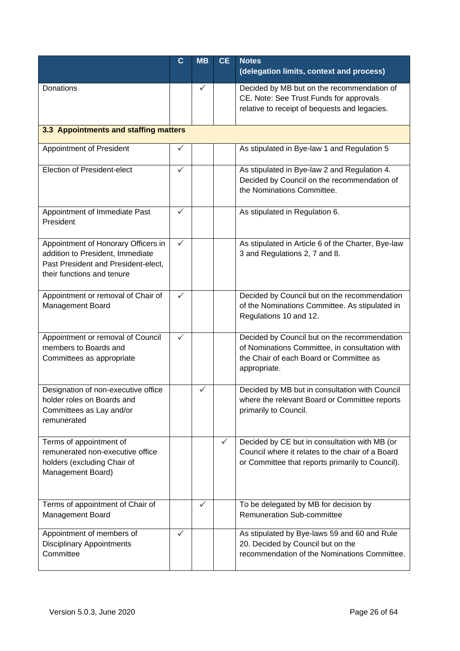|                                                                                                                                              | $\mathbf C$  | <b>MB</b>    | <b>CE</b> | <b>Notes</b><br>(delegation limits, context and process)                                                                                                  |
|----------------------------------------------------------------------------------------------------------------------------------------------|--------------|--------------|-----------|-----------------------------------------------------------------------------------------------------------------------------------------------------------|
| Donations                                                                                                                                    |              | ✓            |           | Decided by MB but on the recommendation of<br>CE. Note: See Trust Funds for approvals<br>relative to receipt of bequests and legacies.                    |
| 3.3 Appointments and staffing matters                                                                                                        |              |              |           |                                                                                                                                                           |
| Appointment of President                                                                                                                     | ✓            |              |           | As stipulated in Bye-law 1 and Regulation 5                                                                                                               |
| <b>Election of President-elect</b>                                                                                                           | $\checkmark$ |              |           | As stipulated in Bye-law 2 and Regulation 4.<br>Decided by Council on the recommendation of<br>the Nominations Committee.                                 |
| Appointment of Immediate Past<br>President                                                                                                   | $\checkmark$ |              |           | As stipulated in Regulation 6.                                                                                                                            |
| Appointment of Honorary Officers in<br>addition to President, Immediate<br>Past President and President-elect,<br>their functions and tenure | $\checkmark$ |              |           | As stipulated in Article 6 of the Charter, Bye-law<br>3 and Regulations 2, 7 and 8.                                                                       |
| Appointment or removal of Chair of<br><b>Management Board</b>                                                                                | $\checkmark$ |              |           | Decided by Council but on the recommendation<br>of the Nominations Committee. As stipulated in<br>Regulations 10 and 12.                                  |
| Appointment or removal of Council<br>members to Boards and<br>Committees as appropriate                                                      | ✓            |              |           | Decided by Council but on the recommendation<br>of Nominations Committee, in consultation with<br>the Chair of each Board or Committee as<br>appropriate. |
| Designation of non-executive office<br>holder roles on Boards and<br>Committees as Lay and/or<br>remunerated                                 |              | ✓            |           | Decided by MB but in consultation with Council<br>where the relevant Board or Committee reports<br>primarily to Council.                                  |
| Terms of appointment of<br>remunerated non-executive office<br>holders (excluding Chair of<br>Management Board)                              |              |              | ✓         | Decided by CE but in consultation with MB (or<br>Council where it relates to the chair of a Board<br>or Committee that reports primarily to Council).     |
| Terms of appointment of Chair of<br>Management Board                                                                                         |              | $\checkmark$ |           | To be delegated by MB for decision by<br><b>Remuneration Sub-committee</b>                                                                                |
| Appointment of members of<br><b>Disciplinary Appointments</b><br>Committee                                                                   | ✓            |              |           | As stipulated by Bye-laws 59 and 60 and Rule<br>20. Decided by Council but on the<br>recommendation of the Nominations Committee.                         |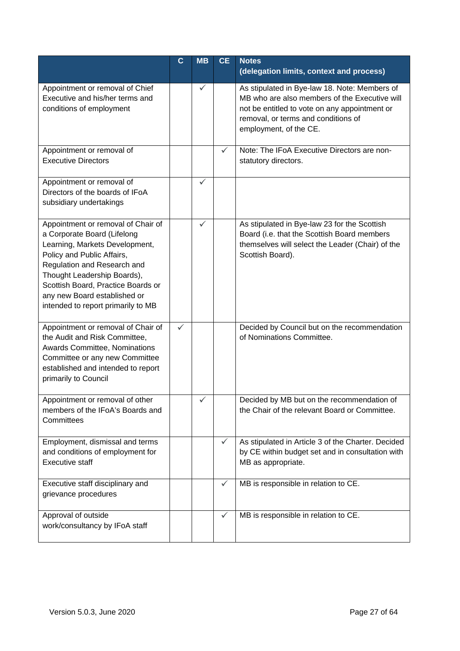|                                                                                                                                                                                                                                                                                                             | $\mathbf C$ | <b>MB</b> | <b>CE</b>    | <b>Notes</b><br>(delegation limits, context and process)                                                                                                                                                         |
|-------------------------------------------------------------------------------------------------------------------------------------------------------------------------------------------------------------------------------------------------------------------------------------------------------------|-------------|-----------|--------------|------------------------------------------------------------------------------------------------------------------------------------------------------------------------------------------------------------------|
| Appointment or removal of Chief<br>Executive and his/her terms and<br>conditions of employment                                                                                                                                                                                                              |             | ✓         |              | As stipulated in Bye-law 18. Note: Members of<br>MB who are also members of the Executive will<br>not be entitled to vote on any appointment or<br>removal, or terms and conditions of<br>employment, of the CE. |
| Appointment or removal of<br><b>Executive Directors</b>                                                                                                                                                                                                                                                     |             |           | ✓            | Note: The IFoA Executive Directors are non-<br>statutory directors.                                                                                                                                              |
| Appointment or removal of<br>Directors of the boards of IFoA<br>subsidiary undertakings                                                                                                                                                                                                                     |             | ✓         |              |                                                                                                                                                                                                                  |
| Appointment or removal of Chair of<br>a Corporate Board (Lifelong<br>Learning, Markets Development,<br>Policy and Public Affairs,<br>Regulation and Research and<br>Thought Leadership Boards),<br>Scottish Board, Practice Boards or<br>any new Board established or<br>intended to report primarily to MB |             | ✓         |              | As stipulated in Bye-law 23 for the Scottish<br>Board (i.e. that the Scottish Board members<br>themselves will select the Leader (Chair) of the<br>Scottish Board).                                              |
| Appointment or removal of Chair of<br>the Audit and Risk Committee,<br>Awards Committee, Nominations<br>Committee or any new Committee<br>established and intended to report<br>primarily to Council                                                                                                        | ✓           |           |              | Decided by Council but on the recommendation<br>of Nominations Committee.                                                                                                                                        |
| Appointment or removal of other<br>members of the IFoA's Boards and<br>Committees                                                                                                                                                                                                                           |             |           |              | Decided by MB but on the recommendation of<br>the Chair of the relevant Board or Committee.                                                                                                                      |
| Employment, dismissal and terms<br>and conditions of employment for<br><b>Executive staff</b>                                                                                                                                                                                                               |             |           | ✓            | As stipulated in Article 3 of the Charter. Decided<br>by CE within budget set and in consultation with<br>MB as appropriate.                                                                                     |
| Executive staff disciplinary and<br>grievance procedures                                                                                                                                                                                                                                                    |             |           | $\checkmark$ | MB is responsible in relation to CE.                                                                                                                                                                             |
| Approval of outside<br>work/consultancy by IFoA staff                                                                                                                                                                                                                                                       |             |           | ✓            | MB is responsible in relation to CE.                                                                                                                                                                             |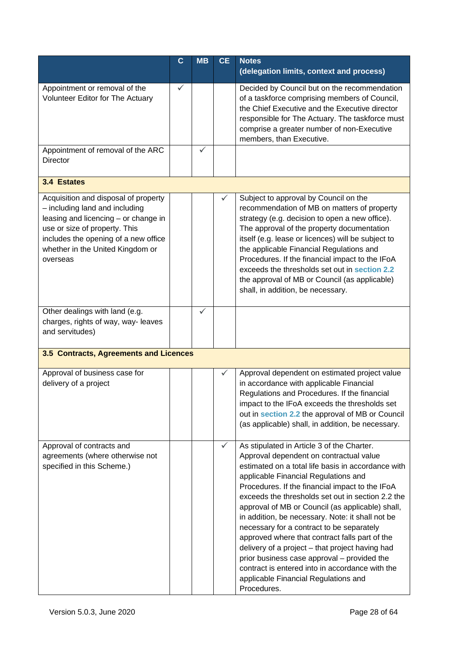|                                                                                                                                                                                                                                         | $\mathbf C$ | <b>MB</b>    | <b>CE</b> | <b>Notes</b><br>(delegation limits, context and process)                                                                                                                                                                                                                                                                                                                                                                                                                                                                                                                                                                                                                                                       |
|-----------------------------------------------------------------------------------------------------------------------------------------------------------------------------------------------------------------------------------------|-------------|--------------|-----------|----------------------------------------------------------------------------------------------------------------------------------------------------------------------------------------------------------------------------------------------------------------------------------------------------------------------------------------------------------------------------------------------------------------------------------------------------------------------------------------------------------------------------------------------------------------------------------------------------------------------------------------------------------------------------------------------------------------|
| Appointment or removal of the<br><b>Volunteer Editor for The Actuary</b>                                                                                                                                                                | ✓           |              |           | Decided by Council but on the recommendation<br>of a taskforce comprising members of Council,<br>the Chief Executive and the Executive director<br>responsible for The Actuary. The taskforce must<br>comprise a greater number of non-Executive<br>members, than Executive.                                                                                                                                                                                                                                                                                                                                                                                                                                   |
| Appointment of removal of the ARC<br><b>Director</b>                                                                                                                                                                                    |             | $\checkmark$ |           |                                                                                                                                                                                                                                                                                                                                                                                                                                                                                                                                                                                                                                                                                                                |
| 3.4 Estates                                                                                                                                                                                                                             |             |              |           |                                                                                                                                                                                                                                                                                                                                                                                                                                                                                                                                                                                                                                                                                                                |
| Acquisition and disposal of property<br>- including land and including<br>leasing and licencing - or change in<br>use or size of property. This<br>includes the opening of a new office<br>whether in the United Kingdom or<br>overseas |             |              |           | Subject to approval by Council on the<br>recommendation of MB on matters of property<br>strategy (e.g. decision to open a new office).<br>The approval of the property documentation<br>itself (e.g. lease or licences) will be subject to<br>the applicable Financial Regulations and<br>Procedures. If the financial impact to the IFoA<br>exceeds the thresholds set out in section 2.2<br>the approval of MB or Council (as applicable)<br>shall, in addition, be necessary.                                                                                                                                                                                                                               |
| Other dealings with land (e.g.<br>charges, rights of way, way- leaves<br>and servitudes)                                                                                                                                                |             | $\checkmark$ |           |                                                                                                                                                                                                                                                                                                                                                                                                                                                                                                                                                                                                                                                                                                                |
| 3.5 Contracts, Agreements and Licences                                                                                                                                                                                                  |             |              |           |                                                                                                                                                                                                                                                                                                                                                                                                                                                                                                                                                                                                                                                                                                                |
| Approval of business case for<br>delivery of a project                                                                                                                                                                                  |             |              |           | Approval dependent on estimated project value<br>in accordance with applicable Financial<br>Regulations and Procedures. If the financial<br>impact to the IFoA exceeds the thresholds set<br>out in section 2.2 the approval of MB or Council<br>(as applicable) shall, in addition, be necessary.                                                                                                                                                                                                                                                                                                                                                                                                             |
| Approval of contracts and<br>agreements (where otherwise not<br>specified in this Scheme.)                                                                                                                                              |             |              | ✓         | As stipulated in Article 3 of the Charter.<br>Approval dependent on contractual value<br>estimated on a total life basis in accordance with<br>applicable Financial Regulations and<br>Procedures. If the financial impact to the IFoA<br>exceeds the thresholds set out in section 2.2 the<br>approval of MB or Council (as applicable) shall,<br>in addition, be necessary. Note: it shall not be<br>necessary for a contract to be separately<br>approved where that contract falls part of the<br>delivery of a project - that project having had<br>prior business case approval – provided the<br>contract is entered into in accordance with the<br>applicable Financial Regulations and<br>Procedures. |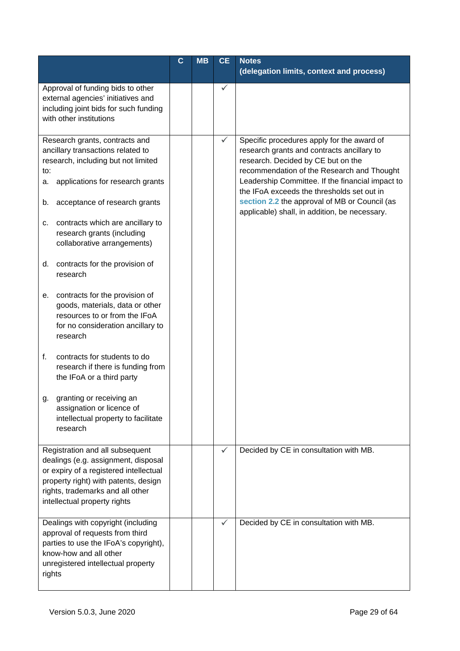|                       |                                                                                                                                                                                                                                                                                  | $\mathbf c$ | <b>MB</b> | <b>CE</b> | <b>Notes</b><br>(delegation limits, context and process)                                                                                                                                                                                                                                                                                                                         |
|-----------------------|----------------------------------------------------------------------------------------------------------------------------------------------------------------------------------------------------------------------------------------------------------------------------------|-------------|-----------|-----------|----------------------------------------------------------------------------------------------------------------------------------------------------------------------------------------------------------------------------------------------------------------------------------------------------------------------------------------------------------------------------------|
|                       | Approval of funding bids to other<br>external agencies' initiatives and<br>including joint bids for such funding<br>with other institutions                                                                                                                                      |             |           |           |                                                                                                                                                                                                                                                                                                                                                                                  |
| to:<br>а.<br>b.<br>c. | Research grants, contracts and<br>ancillary transactions related to<br>research, including but not limited<br>applications for research grants<br>acceptance of research grants<br>contracts which are ancillary to<br>research grants (including<br>collaborative arrangements) |             |           | ✓         | Specific procedures apply for the award of<br>research grants and contracts ancillary to<br>research. Decided by CE but on the<br>recommendation of the Research and Thought<br>Leadership Committee. If the financial impact to<br>the IFoA exceeds the thresholds set out in<br>section 2.2 the approval of MB or Council (as<br>applicable) shall, in addition, be necessary. |
| d.                    | contracts for the provision of<br>research                                                                                                                                                                                                                                       |             |           |           |                                                                                                                                                                                                                                                                                                                                                                                  |
| е.                    | contracts for the provision of<br>goods, materials, data or other<br>resources to or from the IFoA<br>for no consideration ancillary to<br>research                                                                                                                              |             |           |           |                                                                                                                                                                                                                                                                                                                                                                                  |
| f.                    | contracts for students to do<br>research if there is funding from<br>the IFoA or a third party                                                                                                                                                                                   |             |           |           |                                                                                                                                                                                                                                                                                                                                                                                  |
| g.                    | granting or receiving an<br>assignation or licence of<br>intellectual property to facilitate<br>research                                                                                                                                                                         |             |           |           |                                                                                                                                                                                                                                                                                                                                                                                  |
|                       | Registration and all subsequent<br>dealings (e.g. assignment, disposal<br>or expiry of a registered intellectual<br>property right) with patents, design<br>rights, trademarks and all other<br>intellectual property rights                                                     |             |           |           | Decided by CE in consultation with MB.                                                                                                                                                                                                                                                                                                                                           |
| rights                | Dealings with copyright (including<br>approval of requests from third<br>parties to use the IFoA's copyright),<br>know-how and all other<br>unregistered intellectual property                                                                                                   |             |           | ✓         | Decided by CE in consultation with MB.                                                                                                                                                                                                                                                                                                                                           |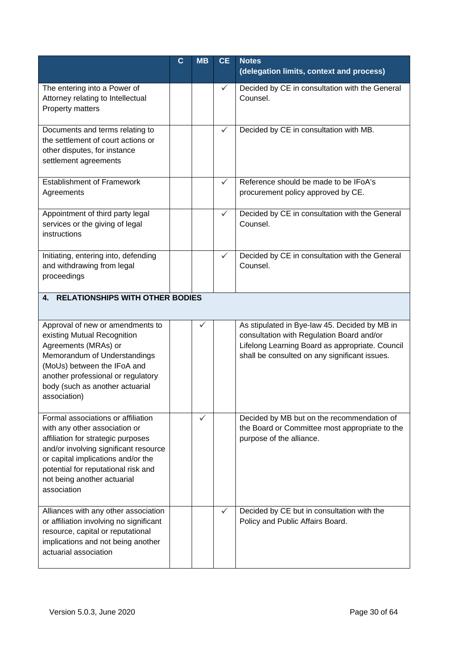|                                                                                                                                                                                                                                                                               | $\mathbf c$ | <b>MB</b>    | <b>CE</b>    | <b>Notes</b><br>(delegation limits, context and process)                                                                                                                                       |
|-------------------------------------------------------------------------------------------------------------------------------------------------------------------------------------------------------------------------------------------------------------------------------|-------------|--------------|--------------|------------------------------------------------------------------------------------------------------------------------------------------------------------------------------------------------|
| The entering into a Power of<br>Attorney relating to Intellectual<br>Property matters                                                                                                                                                                                         |             |              | $\checkmark$ | Decided by CE in consultation with the General<br>Counsel.                                                                                                                                     |
| Documents and terms relating to<br>the settlement of court actions or<br>other disputes, for instance<br>settlement agreements                                                                                                                                                |             |              | $\checkmark$ | Decided by CE in consultation with MB.                                                                                                                                                         |
| <b>Establishment of Framework</b><br>Agreements                                                                                                                                                                                                                               |             |              | $\checkmark$ | Reference should be made to be IFoA's<br>procurement policy approved by CE.                                                                                                                    |
| Appointment of third party legal<br>services or the giving of legal<br>instructions                                                                                                                                                                                           |             |              | $\checkmark$ | Decided by CE in consultation with the General<br>Counsel.                                                                                                                                     |
| Initiating, entering into, defending<br>and withdrawing from legal<br>proceedings                                                                                                                                                                                             |             |              | ✓            | Decided by CE in consultation with the General<br>Counsel.                                                                                                                                     |
| <b>RELATIONSHIPS WITH OTHER BODIES</b><br>4.                                                                                                                                                                                                                                  |             |              |              |                                                                                                                                                                                                |
| Approval of new or amendments to<br>existing Mutual Recognition<br>Agreements (MRAs) or<br>Memorandum of Understandings<br>(MoUs) between the IFoA and<br>another professional or regulatory<br>body (such as another actuarial<br>association)                               |             | $\checkmark$ |              | As stipulated in Bye-law 45. Decided by MB in<br>consultation with Regulation Board and/or<br>Lifelong Learning Board as appropriate. Council<br>shall be consulted on any significant issues. |
| Formal associations or affiliation<br>with any other association or<br>affiliation for strategic purposes<br>and/or involving significant resource<br>or capital implications and/or the<br>potential for reputational risk and<br>not being another actuarial<br>association |             | ✓            |              | Decided by MB but on the recommendation of<br>the Board or Committee most appropriate to the<br>purpose of the alliance.                                                                       |
| Alliances with any other association<br>or affiliation involving no significant<br>resource, capital or reputational<br>implications and not being another<br>actuarial association                                                                                           |             |              | ✓            | Decided by CE but in consultation with the<br>Policy and Public Affairs Board.                                                                                                                 |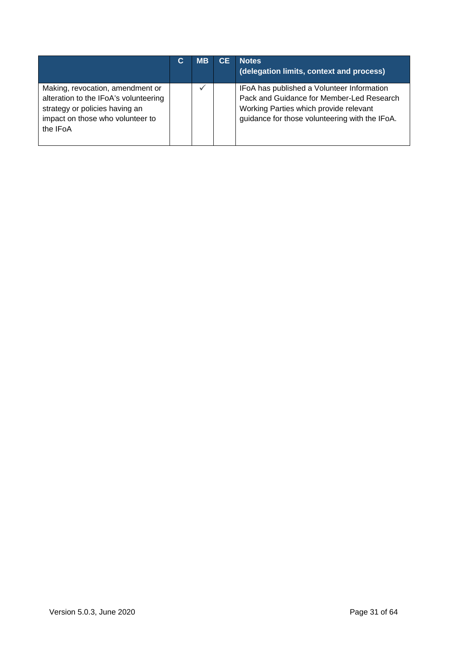|                                                                                                                                                             | С | <b>MB</b>    | <b>CE</b> | <b>Notes</b><br>(delegation limits, context and process)                                                                                                                            |
|-------------------------------------------------------------------------------------------------------------------------------------------------------------|---|--------------|-----------|-------------------------------------------------------------------------------------------------------------------------------------------------------------------------------------|
| Making, revocation, amendment or<br>alteration to the IFoA's volunteering<br>strategy or policies having an<br>impact on those who volunteer to<br>the IFoA |   | $\checkmark$ |           | IFoA has published a Volunteer Information<br>Pack and Guidance for Member-Led Research<br>Working Parties which provide relevant<br>guidance for those volunteering with the IFoA. |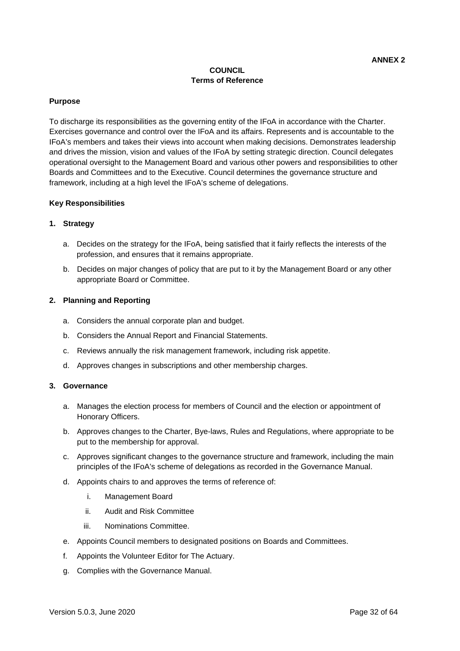# **COUNCIL Terms of Reference**

#### **Purpose**

To discharge its responsibilities as the governing entity of the IFoA in accordance with the Charter. Exercises governance and control over the IFoA and its affairs. Represents and is accountable to the IFoA's members and takes their views into account when making decisions. Demonstrates leadership and drives the mission, vision and values of the IFoA by setting strategic direction. Council delegates operational oversight to the Management Board and various other powers and responsibilities to other Boards and Committees and to the Executive. Council determines the governance structure and framework, including at a high level the IFoA's scheme of delegations.

#### **Key Responsibilities**

### **1. Strategy**

- a. Decides on the strategy for the IFoA, being satisfied that it fairly reflects the interests of the profession, and ensures that it remains appropriate.
- b. Decides on major changes of policy that are put to it by the Management Board or any other appropriate Board or Committee.

#### **2. Planning and Reporting**

- a. Considers the annual corporate plan and budget.
- b. Considers the Annual Report and Financial Statements.
- c. Reviews annually the risk management framework, including risk appetite.
- d. Approves changes in subscriptions and other membership charges.

#### **3. Governance**

- a. Manages the election process for members of Council and the election or appointment of Honorary Officers.
- b. Approves changes to the Charter, Bye-laws, Rules and Regulations, where appropriate to be put to the membership for approval.
- c. Approves significant changes to the governance structure and framework, including the main principles of the IFoA's scheme of delegations as recorded in the Governance Manual.
- d. Appoints chairs to and approves the terms of reference of:
	- i. Management Board
	- ii. Audit and Risk Committee
	- iii. Nominations Committee.
- e. Appoints Council members to designated positions on Boards and Committees.
- f. Appoints the Volunteer Editor for The Actuary.
- g. Complies with the Governance Manual.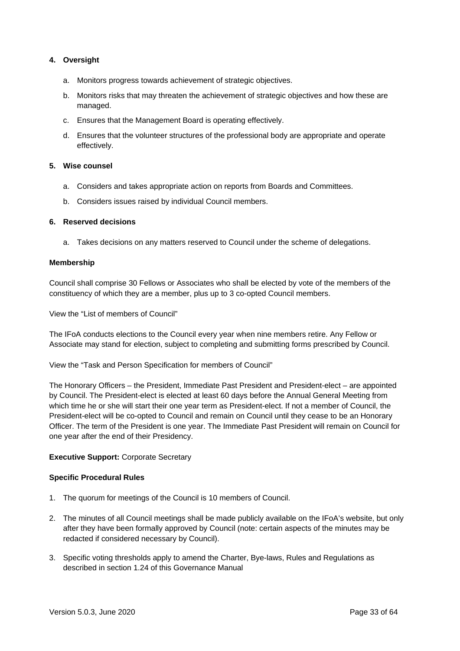# **4. Oversight**

- a. Monitors progress towards achievement of strategic objectives.
- b. Monitors risks that may threaten the achievement of strategic objectives and how these are managed.
- c. Ensures that the Management Board is operating effectively.
- d. Ensures that the volunteer structures of the professional body are appropriate and operate effectively.

#### **5. Wise counsel**

- a. Considers and takes appropriate action on reports from Boards and Committees.
- b. Considers issues raised by individual Council members.

#### **6. Reserved decisions**

a. Takes decisions on any matters reserved to Council under the scheme of delegations.

#### **Membership**

Council shall comprise 30 Fellows or Associates who shall be elected by vote of the members of the constituency of which they are a member, plus up to 3 co-opted Council members.

View the "List of members of Council"

The IFoA conducts elections to the Council every year when nine members retire. Any Fellow or Associate may stand for election, subject to completing and submitting forms prescribed by Council.

View the "Task and Person Specification for members of Council"

The Honorary Officers – the President, Immediate Past President and President-elect – are appointed by Council. The President-elect is elected at least 60 days before the Annual General Meeting from which time he or she will start their one year term as President-elect. If not a member of Council, the President-elect will be co-opted to Council and remain on Council until they cease to be an Honorary Officer. The term of the President is one year. The Immediate Past President will remain on Council for one year after the end of their Presidency.

### **Executive Support:** Corporate Secretary

### **Specific Procedural Rules**

- 1. The quorum for meetings of the Council is 10 members of Council.
- 2. The minutes of all Council meetings shall be made publicly available on the IFoA's website, but only after they have been formally approved by Council (note: certain aspects of the minutes may be redacted if considered necessary by Council).
- 3. Specific voting thresholds apply to amend the Charter, Bye-laws, Rules and Regulations as described in section 1.24 of this Governance Manual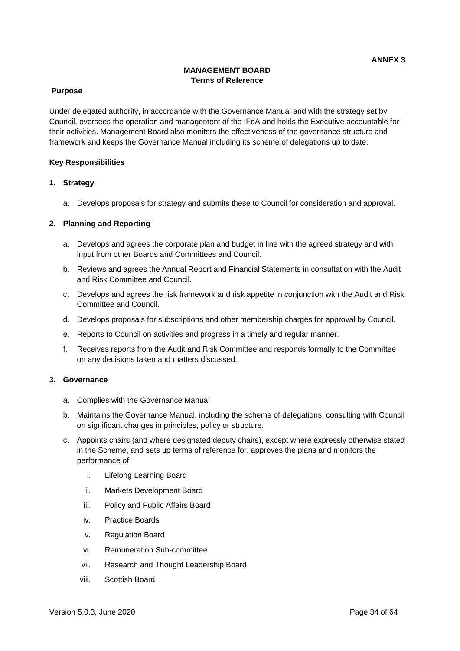# **MANAGEMENT BOARD Terms of Reference**

### **Purpose**

Under delegated authority, in accordance with the Governance Manual and with the strategy set by Council, oversees the operation and management of the IFoA and holds the Executive accountable for their activities. Management Board also monitors the effectiveness of the governance structure and framework and keeps the Governance Manual including its scheme of delegations up to date.

#### **Key Responsibilities**

#### **1. Strategy**

a. Develops proposals for strategy and submits these to Council for consideration and approval.

#### **2. Planning and Reporting**

- a. Develops and agrees the corporate plan and budget in line with the agreed strategy and with input from other Boards and Committees and Council.
- b. Reviews and agrees the Annual Report and Financial Statements in consultation with the Audit and Risk Committee and Council.
- c. Develops and agrees the risk framework and risk appetite in conjunction with the Audit and Risk Committee and Council.
- d. Develops proposals for subscriptions and other membership charges for approval by Council.
- e. Reports to Council on activities and progress in a timely and regular manner.
- f. Receives reports from the Audit and Risk Committee and responds formally to the Committee on any decisions taken and matters discussed.

#### **3. Governance**

- a. Complies with the Governance Manual
- b. Maintains the Governance Manual, including the scheme of delegations, consulting with Council on significant changes in principles, policy or structure.
- c. Appoints chairs (and where designated deputy chairs), except where expressly otherwise stated in the Scheme, and sets up terms of reference for, approves the plans and monitors the performance of:
	- i. Lifelong Learning Board
	- ii. Markets Development Board
	- iii. Policy and Public Affairs Board
	- iv. Practice Boards
	- v. Regulation Board
	- vi. Remuneration Sub-committee
	- vii. Research and Thought Leadership Board
	- viii. Scottish Board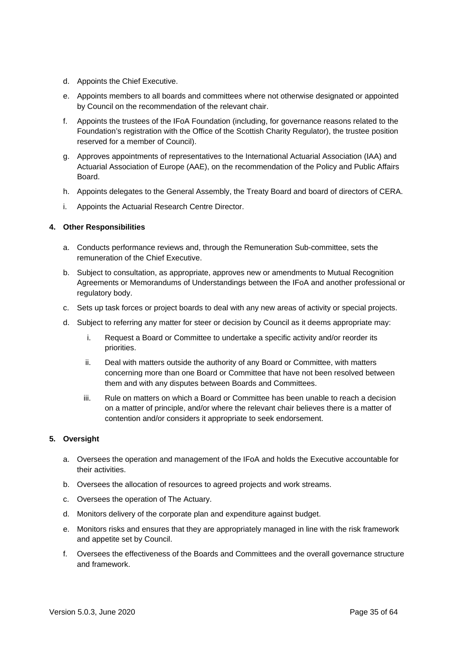- d. Appoints the Chief Executive.
- e. Appoints members to all boards and committees where not otherwise designated or appointed by Council on the recommendation of the relevant chair.
- f. Appoints the trustees of the IFoA Foundation (including, for governance reasons related to the Foundation's registration with the Office of the Scottish Charity Regulator), the trustee position reserved for a member of Council).
- g. Approves appointments of representatives to the International Actuarial Association (IAA) and Actuarial Association of Europe (AAE), on the recommendation of the Policy and Public Affairs Board.
- h. Appoints delegates to the General Assembly, the Treaty Board and board of directors of CERA.
- i. Appoints the Actuarial Research Centre Director.

### **4. Other Responsibilities**

- a. Conducts performance reviews and, through the Remuneration Sub-committee, sets the remuneration of the Chief Executive.
- b. Subject to consultation, as appropriate, approves new or amendments to Mutual Recognition Agreements or Memorandums of Understandings between the IFoA and another professional or regulatory body.
- c. Sets up task forces or project boards to deal with any new areas of activity or special projects.
- d. Subject to referring any matter for steer or decision by Council as it deems appropriate may:
	- i. Request a Board or Committee to undertake a specific activity and/or reorder its priorities.
	- ii. Deal with matters outside the authority of any Board or Committee, with matters concerning more than one Board or Committee that have not been resolved between them and with any disputes between Boards and Committees.
	- iii. Rule on matters on which a Board or Committee has been unable to reach a decision on a matter of principle, and/or where the relevant chair believes there is a matter of contention and/or considers it appropriate to seek endorsement.

### **5. Oversight**

- a. Oversees the operation and management of the IFoA and holds the Executive accountable for their activities.
- b. Oversees the allocation of resources to agreed projects and work streams.
- c. Oversees the operation of The Actuary.
- d. Monitors delivery of the corporate plan and expenditure against budget.
- e. Monitors risks and ensures that they are appropriately managed in line with the risk framework and appetite set by Council.
- f. Oversees the effectiveness of the Boards and Committees and the overall governance structure and framework.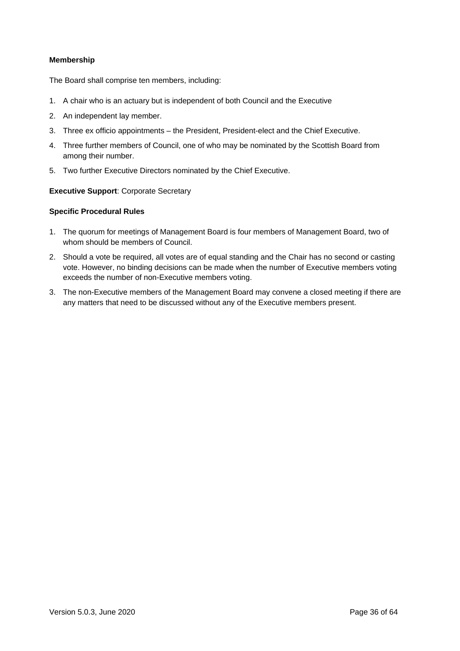## **Membership**

The Board shall comprise ten members, including:

- 1. A chair who is an actuary but is independent of both Council and the Executive
- 2. An independent lay member.
- 3. Three ex officio appointments the President, President-elect and the Chief Executive.
- 4. Three further members of Council, one of who may be nominated by the Scottish Board from among their number.
- 5. Two further Executive Directors nominated by the Chief Executive.

#### **Executive Support**: Corporate Secretary

#### **Specific Procedural Rules**

- 1. The quorum for meetings of Management Board is four members of Management Board, two of whom should be members of Council.
- 2. Should a vote be required, all votes are of equal standing and the Chair has no second or casting vote. However, no binding decisions can be made when the number of Executive members voting exceeds the number of non-Executive members voting.
- 3. The non-Executive members of the Management Board may convene a closed meeting if there are any matters that need to be discussed without any of the Executive members present.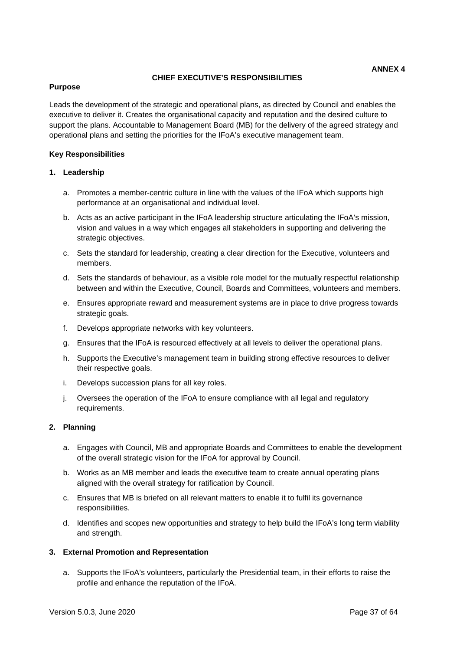#### **CHIEF EXECUTIVE'S RESPONSIBILITIES**

### **Purpose**

Leads the development of the strategic and operational plans, as directed by Council and enables the executive to deliver it. Creates the organisational capacity and reputation and the desired culture to support the plans. Accountable to Management Board (MB) for the delivery of the agreed strategy and operational plans and setting the priorities for the IFoA's executive management team.

#### **Key Responsibilities**

#### **1. Leadership**

- a. Promotes a member-centric culture in line with the values of the IFoA which supports high performance at an organisational and individual level.
- b. Acts as an active participant in the IFoA leadership structure articulating the IFoA's mission, vision and values in a way which engages all stakeholders in supporting and delivering the strategic objectives.
- c. Sets the standard for leadership, creating a clear direction for the Executive, volunteers and members.
- d. Sets the standards of behaviour, as a visible role model for the mutually respectful relationship between and within the Executive, Council, Boards and Committees, volunteers and members.
- e. Ensures appropriate reward and measurement systems are in place to drive progress towards strategic goals.
- f. Develops appropriate networks with key volunteers.
- g. Ensures that the IFoA is resourced effectively at all levels to deliver the operational plans.
- h. Supports the Executive's management team in building strong effective resources to deliver their respective goals.
- i. Develops succession plans for all key roles.
- j. Oversees the operation of the IFoA to ensure compliance with all legal and regulatory requirements.

#### **2. Planning**

- a. Engages with Council, MB and appropriate Boards and Committees to enable the development of the overall strategic vision for the IFoA for approval by Council.
- b. Works as an MB member and leads the executive team to create annual operating plans aligned with the overall strategy for ratification by Council.
- c. Ensures that MB is briefed on all relevant matters to enable it to fulfil its governance responsibilities.
- d. Identifies and scopes new opportunities and strategy to help build the IFoA's long term viability and strength.

### **3. External Promotion and Representation**

a. Supports the IFoA's volunteers, particularly the Presidential team, in their efforts to raise the profile and enhance the reputation of the IFoA.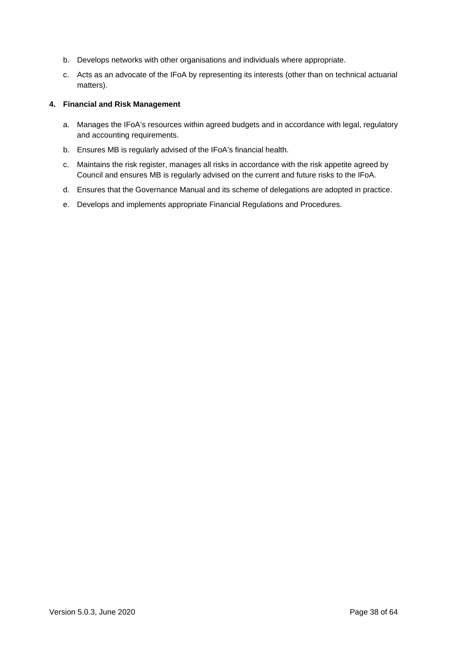- b. Develops networks with other organisations and individuals where appropriate.
- c. Acts as an advocate of the IFoA by representing its interests (other than on technical actuarial matters).

#### **4. Financial and Risk Management**

- a. Manages the IFoA's resources within agreed budgets and in accordance with legal, regulatory and accounting requirements.
- b. Ensures MB is regularly advised of the IFoA's financial health.
- c. Maintains the risk register, manages all risks in accordance with the risk appetite agreed by Council and ensures MB is regularly advised on the current and future risks to the IFoA.
- d. Ensures that the Governance Manual and its scheme of delegations are adopted in practice.
- e. Develops and implements appropriate Financial Regulations and Procedures.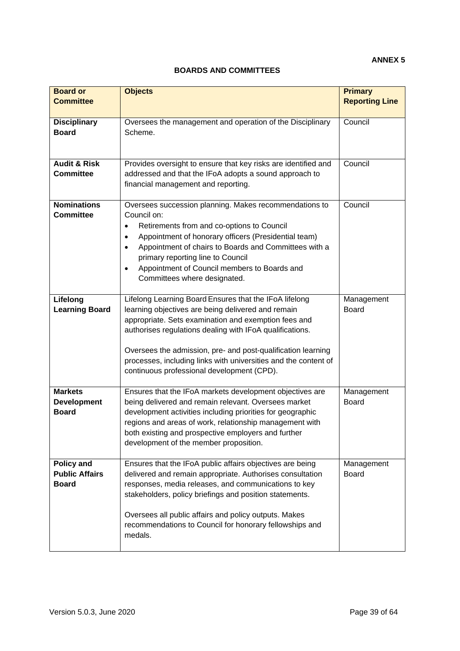# **ANNEX 5**

# **BOARDS AND COMMITTEES**

| <b>Board or</b><br><b>Committee</b>                        | <b>Objects</b>                                                                                                                                                                                                                                                                                                                                                                                                    | <b>Primary</b><br><b>Reporting Line</b> |
|------------------------------------------------------------|-------------------------------------------------------------------------------------------------------------------------------------------------------------------------------------------------------------------------------------------------------------------------------------------------------------------------------------------------------------------------------------------------------------------|-----------------------------------------|
| <b>Disciplinary</b><br><b>Board</b>                        | Oversees the management and operation of the Disciplinary<br>Scheme.                                                                                                                                                                                                                                                                                                                                              | Council                                 |
| <b>Audit &amp; Risk</b><br><b>Committee</b>                | Provides oversight to ensure that key risks are identified and<br>addressed and that the IFoA adopts a sound approach to<br>financial management and reporting.                                                                                                                                                                                                                                                   | Council                                 |
| <b>Nominations</b><br><b>Committee</b>                     | Oversees succession planning. Makes recommendations to<br>Council on:<br>Retirements from and co-options to Council<br>$\bullet$<br>Appointment of honorary officers (Presidential team)<br>$\bullet$<br>Appointment of chairs to Boards and Committees with a<br>$\bullet$<br>primary reporting line to Council<br>Appointment of Council members to Boards and<br>$\bullet$<br>Committees where designated.     | Council                                 |
| Lifelong<br><b>Learning Board</b>                          | Lifelong Learning Board Ensures that the IFoA lifelong<br>learning objectives are being delivered and remain<br>appropriate. Sets examination and exemption fees and<br>authorises regulations dealing with IFoA qualifications.<br>Oversees the admission, pre- and post-qualification learning<br>processes, including links with universities and the content of<br>continuous professional development (CPD). | Management<br><b>Board</b>              |
| <b>Markets</b><br><b>Development</b><br><b>Board</b>       | Ensures that the IFoA markets development objectives are<br>being delivered and remain relevant. Oversees market<br>development activities including priorities for geographic<br>regions and areas of work, relationship management with<br>both existing and prospective employers and further<br>development of the member proposition.                                                                        | Management<br><b>Board</b>              |
| <b>Policy and</b><br><b>Public Affairs</b><br><b>Board</b> | Ensures that the IFoA public affairs objectives are being<br>delivered and remain appropriate. Authorises consultation<br>responses, media releases, and communications to key<br>stakeholders, policy briefings and position statements.<br>Oversees all public affairs and policy outputs. Makes<br>recommendations to Council for honorary fellowships and<br>medals.                                          | Management<br><b>Board</b>              |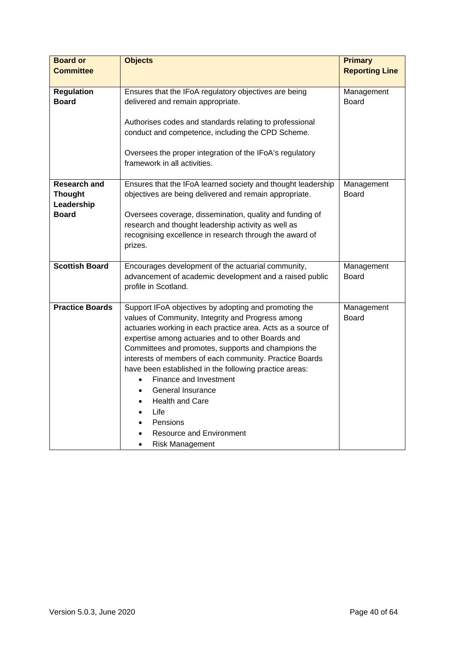| <b>Board or</b>        | <b>Objects</b>                                                                                                         | <b>Primary</b>             |
|------------------------|------------------------------------------------------------------------------------------------------------------------|----------------------------|
| <b>Committee</b>       |                                                                                                                        | <b>Reporting Line</b>      |
|                        |                                                                                                                        |                            |
| <b>Regulation</b>      | Ensures that the IFoA regulatory objectives are being                                                                  | Management                 |
| <b>Board</b>           | delivered and remain appropriate.                                                                                      | <b>Board</b>               |
|                        |                                                                                                                        |                            |
|                        | Authorises codes and standards relating to professional                                                                |                            |
|                        | conduct and competence, including the CPD Scheme.                                                                      |                            |
|                        |                                                                                                                        |                            |
|                        | Oversees the proper integration of the IFoA's regulatory                                                               |                            |
|                        | framework in all activities.                                                                                           |                            |
| <b>Research and</b>    |                                                                                                                        |                            |
| <b>Thought</b>         | Ensures that the IFoA learned society and thought leadership<br>objectives are being delivered and remain appropriate. | Management<br><b>Board</b> |
| Leadership             |                                                                                                                        |                            |
| <b>Board</b>           |                                                                                                                        |                            |
|                        | Oversees coverage, dissemination, quality and funding of                                                               |                            |
|                        | research and thought leadership activity as well as                                                                    |                            |
|                        | recognising excellence in research through the award of                                                                |                            |
|                        | prizes.                                                                                                                |                            |
| <b>Scottish Board</b>  | Encourages development of the actuarial community,                                                                     | Management                 |
|                        | advancement of academic development and a raised public                                                                | <b>Board</b>               |
|                        | profile in Scotland.                                                                                                   |                            |
|                        |                                                                                                                        |                            |
| <b>Practice Boards</b> | Support IFoA objectives by adopting and promoting the                                                                  | Management                 |
|                        | values of Community, Integrity and Progress among                                                                      | <b>Board</b>               |
|                        | actuaries working in each practice area. Acts as a source of                                                           |                            |
|                        | expertise among actuaries and to other Boards and                                                                      |                            |
|                        | Committees and promotes, supports and champions the                                                                    |                            |
|                        | interests of members of each community. Practice Boards                                                                |                            |
|                        | have been established in the following practice areas:                                                                 |                            |
|                        | Finance and Investment<br>$\bullet$                                                                                    |                            |
|                        | General Insurance<br>$\bullet$                                                                                         |                            |
|                        | <b>Health and Care</b><br>$\bullet$                                                                                    |                            |
|                        | Life<br>$\bullet$                                                                                                      |                            |
|                        | Pensions<br>$\bullet$                                                                                                  |                            |
|                        | Resource and Environment<br>$\bullet$                                                                                  |                            |
|                        | <b>Risk Management</b><br>$\bullet$                                                                                    |                            |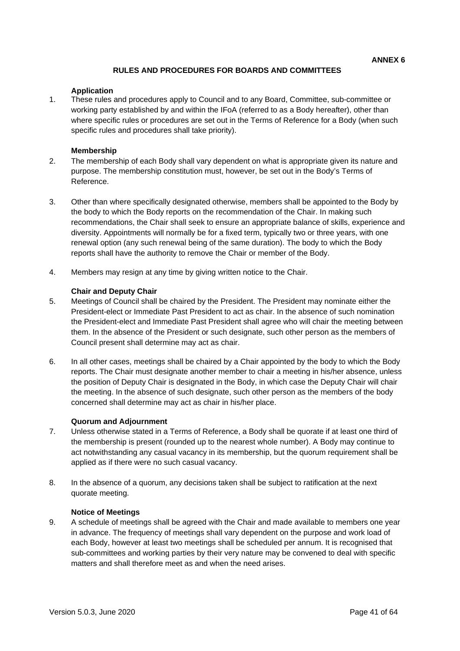# **RULES AND PROCEDURES FOR BOARDS AND COMMITTEES**

#### **Application**

1. These rules and procedures apply to Council and to any Board, Committee, sub-committee or working party established by and within the IFoA (referred to as a Body hereafter), other than where specific rules or procedures are set out in the Terms of Reference for a Body (when such specific rules and procedures shall take priority).

#### **Membership**

- 2. The membership of each Body shall vary dependent on what is appropriate given its nature and purpose. The membership constitution must, however, be set out in the Body's Terms of Reference.
- 3. Other than where specifically designated otherwise, members shall be appointed to the Body by the body to which the Body reports on the recommendation of the Chair. In making such recommendations, the Chair shall seek to ensure an appropriate balance of skills, experience and diversity. Appointments will normally be for a fixed term, typically two or three years, with one renewal option (any such renewal being of the same duration). The body to which the Body reports shall have the authority to remove the Chair or member of the Body.
- 4. Members may resign at any time by giving written notice to the Chair.

#### **Chair and Deputy Chair**

- 5. Meetings of Council shall be chaired by the President. The President may nominate either the President-elect or Immediate Past President to act as chair. In the absence of such nomination the President-elect and Immediate Past President shall agree who will chair the meeting between them. In the absence of the President or such designate, such other person as the members of Council present shall determine may act as chair.
- 6. In all other cases, meetings shall be chaired by a Chair appointed by the body to which the Body reports. The Chair must designate another member to chair a meeting in his/her absence, unless the position of Deputy Chair is designated in the Body, in which case the Deputy Chair will chair the meeting. In the absence of such designate, such other person as the members of the body concerned shall determine may act as chair in his/her place.

#### **Quorum and Adjournment**

- 7. Unless otherwise stated in a Terms of Reference, a Body shall be quorate if at least one third of the membership is present (rounded up to the nearest whole number). A Body may continue to act notwithstanding any casual vacancy in its membership, but the quorum requirement shall be applied as if there were no such casual vacancy.
- 8. In the absence of a quorum, any decisions taken shall be subject to ratification at the next quorate meeting.

#### **Notice of Meetings**

9. A schedule of meetings shall be agreed with the Chair and made available to members one year in advance. The frequency of meetings shall vary dependent on the purpose and work load of each Body, however at least two meetings shall be scheduled per annum. It is recognised that sub-committees and working parties by their very nature may be convened to deal with specific matters and shall therefore meet as and when the need arises.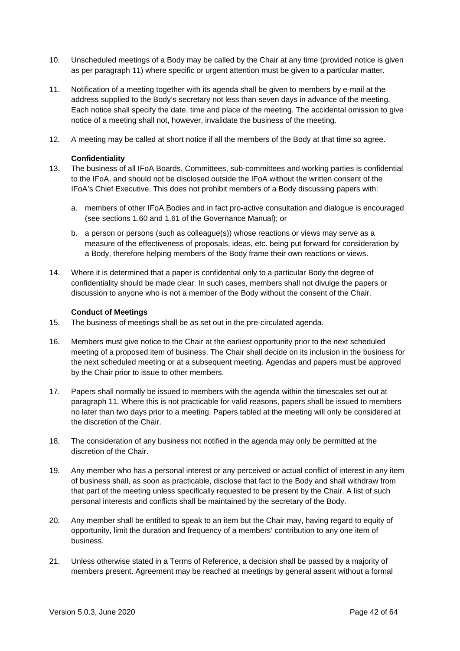- 10. Unscheduled meetings of a Body may be called by the Chair at any time (provided notice is given as per paragraph 11) where specific or urgent attention must be given to a particular matter.
- 11. Notification of a meeting together with its agenda shall be given to members by e-mail at the address supplied to the Body's secretary not less than seven days in advance of the meeting. Each notice shall specify the date, time and place of the meeting. The accidental omission to give notice of a meeting shall not, however, invalidate the business of the meeting.
- 12. A meeting may be called at short notice if all the members of the Body at that time so agree.

#### **Confidentiality**

- 13. The business of all IFoA Boards, Committees, sub-committees and working parties is confidential to the IFoA, and should not be disclosed outside the IFoA without the written consent of the IFoA's Chief Executive. This does not prohibit members of a Body discussing papers with:
	- a. members of other IFoA Bodies and in fact pro-active consultation and dialogue is encouraged (see sections 1.60 and 1.61 of the Governance Manual); or
	- b. a person or persons (such as colleague(s)) whose reactions or views may serve as a measure of the effectiveness of proposals, ideas, etc. being put forward for consideration by a Body, therefore helping members of the Body frame their own reactions or views.
- 14. Where it is determined that a paper is confidential only to a particular Body the degree of confidentiality should be made clear. In such cases, members shall not divulge the papers or discussion to anyone who is not a member of the Body without the consent of the Chair.

#### **Conduct of Meetings**

- 15. The business of meetings shall be as set out in the pre-circulated agenda.
- 16. Members must give notice to the Chair at the earliest opportunity prior to the next scheduled meeting of a proposed item of business. The Chair shall decide on its inclusion in the business for the next scheduled meeting or at a subsequent meeting. Agendas and papers must be approved by the Chair prior to issue to other members.
- 17. Papers shall normally be issued to members with the agenda within the timescales set out at paragraph 11. Where this is not practicable for valid reasons, papers shall be issued to members no later than two days prior to a meeting. Papers tabled at the meeting will only be considered at the discretion of the Chair.
- 18. The consideration of any business not notified in the agenda may only be permitted at the discretion of the Chair.
- 19. Any member who has a personal interest or any perceived or actual conflict of interest in any item of business shall, as soon as practicable, disclose that fact to the Body and shall withdraw from that part of the meeting unless specifically requested to be present by the Chair. A list of such personal interests and conflicts shall be maintained by the secretary of the Body.
- 20. Any member shall be entitled to speak to an item but the Chair may, having regard to equity of opportunity, limit the duration and frequency of a members' contribution to any one item of business.
- 21. Unless otherwise stated in a Terms of Reference, a decision shall be passed by a majority of members present. Agreement may be reached at meetings by general assent without a formal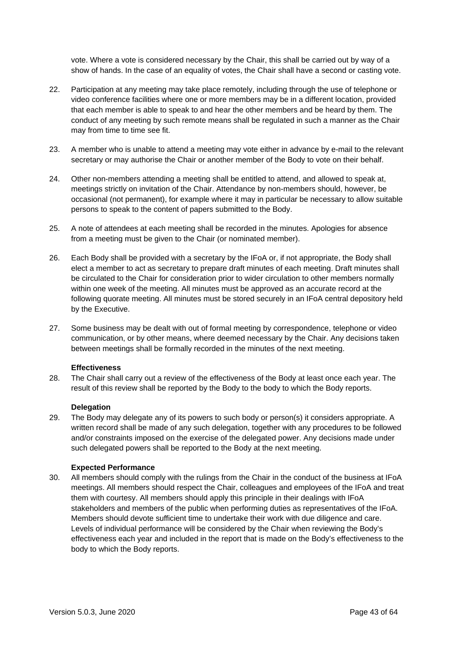vote. Where a vote is considered necessary by the Chair, this shall be carried out by way of a show of hands. In the case of an equality of votes, the Chair shall have a second or casting vote.

- 22. Participation at any meeting may take place remotely, including through the use of telephone or video conference facilities where one or more members may be in a different location, provided that each member is able to speak to and hear the other members and be heard by them. The conduct of any meeting by such remote means shall be regulated in such a manner as the Chair may from time to time see fit.
- 23. A member who is unable to attend a meeting may vote either in advance by e-mail to the relevant secretary or may authorise the Chair or another member of the Body to vote on their behalf.
- 24. Other non-members attending a meeting shall be entitled to attend, and allowed to speak at, meetings strictly on invitation of the Chair. Attendance by non-members should, however, be occasional (not permanent), for example where it may in particular be necessary to allow suitable persons to speak to the content of papers submitted to the Body.
- 25. A note of attendees at each meeting shall be recorded in the minutes. Apologies for absence from a meeting must be given to the Chair (or nominated member).
- 26. Each Body shall be provided with a secretary by the IFoA or, if not appropriate, the Body shall elect a member to act as secretary to prepare draft minutes of each meeting. Draft minutes shall be circulated to the Chair for consideration prior to wider circulation to other members normally within one week of the meeting. All minutes must be approved as an accurate record at the following quorate meeting. All minutes must be stored securely in an IFoA central depository held by the Executive.
- 27. Some business may be dealt with out of formal meeting by correspondence, telephone or video communication, or by other means, where deemed necessary by the Chair. Any decisions taken between meetings shall be formally recorded in the minutes of the next meeting.

#### **Effectiveness**

28. The Chair shall carry out a review of the effectiveness of the Body at least once each year. The result of this review shall be reported by the Body to the body to which the Body reports.

#### **Delegation**

29. The Body may delegate any of its powers to such body or person(s) it considers appropriate. A written record shall be made of any such delegation, together with any procedures to be followed and/or constraints imposed on the exercise of the delegated power. Any decisions made under such delegated powers shall be reported to the Body at the next meeting.

#### **Expected Performance**

30. All members should comply with the rulings from the Chair in the conduct of the business at IFoA meetings. All members should respect the Chair, colleagues and employees of the IFoA and treat them with courtesy. All members should apply this principle in their dealings with IFoA stakeholders and members of the public when performing duties as representatives of the IFoA. Members should devote sufficient time to undertake their work with due diligence and care. Levels of individual performance will be considered by the Chair when reviewing the Body's effectiveness each year and included in the report that is made on the Body's effectiveness to the body to which the Body reports.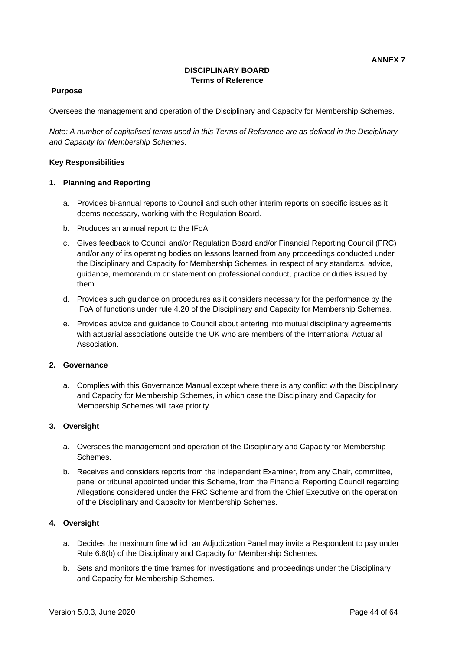# **DISCIPLINARY BOARD Terms of Reference**

## **Purpose**

Oversees the management and operation of the Disciplinary and Capacity for Membership Schemes.

*Note: A number of capitalised terms used in this Terms of Reference are as defined in the Disciplinary and Capacity for Membership Schemes.*

#### **Key Responsibilities**

#### **1. Planning and Reporting**

- a. Provides bi-annual reports to Council and such other interim reports on specific issues as it deems necessary, working with the Regulation Board.
- b. Produces an annual report to the IFoA.
- c. Gives feedback to Council and/or Regulation Board and/or Financial Reporting Council (FRC) and/or any of its operating bodies on lessons learned from any proceedings conducted under the Disciplinary and Capacity for Membership Schemes, in respect of any standards, advice, guidance, memorandum or statement on professional conduct, practice or duties issued by them.
- d. Provides such guidance on procedures as it considers necessary for the performance by the IFoA of functions under rule 4.20 of the Disciplinary and Capacity for Membership Schemes.
- e. Provides advice and guidance to Council about entering into mutual disciplinary agreements with actuarial associations outside the UK who are members of the International Actuarial **Association**

### **2. Governance**

a. Complies with this Governance Manual except where there is any conflict with the Disciplinary and Capacity for Membership Schemes, in which case the Disciplinary and Capacity for Membership Schemes will take priority.

### **3. Oversight**

- a. Oversees the management and operation of the Disciplinary and Capacity for Membership Schemes.
- b. Receives and considers reports from the Independent Examiner, from any Chair, committee, panel or tribunal appointed under this Scheme, from the Financial Reporting Council regarding Allegations considered under the FRC Scheme and from the Chief Executive on the operation of the Disciplinary and Capacity for Membership Schemes.

### **4. Oversight**

- a. Decides the maximum fine which an Adjudication Panel may invite a Respondent to pay under Rule 6.6(b) of the Disciplinary and Capacity for Membership Schemes.
- b. Sets and monitors the time frames for investigations and proceedings under the Disciplinary and Capacity for Membership Schemes.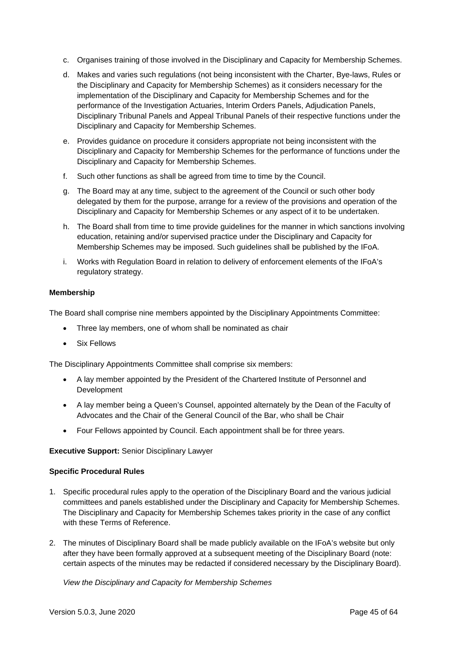- c. Organises training of those involved in the Disciplinary and Capacity for Membership Schemes.
- d. Makes and varies such regulations (not being inconsistent with the Charter, Bye-laws, Rules or the Disciplinary and Capacity for Membership Schemes) as it considers necessary for the implementation of the Disciplinary and Capacity for Membership Schemes and for the performance of the Investigation Actuaries, Interim Orders Panels, Adjudication Panels, Disciplinary Tribunal Panels and Appeal Tribunal Panels of their respective functions under the Disciplinary and Capacity for Membership Schemes.
- e. Provides guidance on procedure it considers appropriate not being inconsistent with the Disciplinary and Capacity for Membership Schemes for the performance of functions under the Disciplinary and Capacity for Membership Schemes.
- f. Such other functions as shall be agreed from time to time by the Council.
- g. The Board may at any time, subject to the agreement of the Council or such other body delegated by them for the purpose, arrange for a review of the provisions and operation of the Disciplinary and Capacity for Membership Schemes or any aspect of it to be undertaken.
- h. The Board shall from time to time provide guidelines for the manner in which sanctions involving education, retaining and/or supervised practice under the Disciplinary and Capacity for Membership Schemes may be imposed. Such guidelines shall be published by the IFoA.
- i. Works with Regulation Board in relation to delivery of enforcement elements of the IFoA's regulatory strategy.

#### **Membership**

The Board shall comprise nine members appointed by the Disciplinary Appointments Committee:

- Three lay members, one of whom shall be nominated as chair
- Six Fellows

The Disciplinary Appointments Committee shall comprise six members:

- A lay member appointed by the President of the Chartered Institute of Personnel and Development
- A lay member being a Queen's Counsel, appointed alternately by the Dean of the Faculty of Advocates and the Chair of the General Council of the Bar, who shall be Chair
- Four Fellows appointed by Council. Each appointment shall be for three years.

#### **Executive Support:** Senior Disciplinary Lawyer

#### **Specific Procedural Rules**

- 1. Specific procedural rules apply to the operation of the Disciplinary Board and the various judicial committees and panels established under the Disciplinary and Capacity for Membership Schemes. The Disciplinary and Capacity for Membership Schemes takes priority in the case of any conflict with these Terms of Reference.
- 2. The minutes of Disciplinary Board shall be made publicly available on the IFoA's website but only after they have been formally approved at a subsequent meeting of the Disciplinary Board (note: certain aspects of the minutes may be redacted if considered necessary by the Disciplinary Board).

*View the Disciplinary and Capacity for Membership Schemes*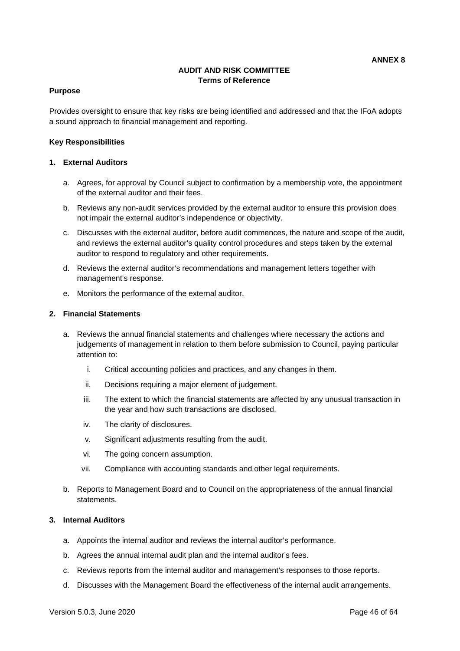# **AUDIT AND RISK COMMITTEE Terms of Reference**

#### **Purpose**

Provides oversight to ensure that key risks are being identified and addressed and that the IFoA adopts a sound approach to financial management and reporting.

#### **Key Responsibilities**

#### **1. External Auditors**

- a. Agrees, for approval by Council subject to confirmation by a membership vote, the appointment of the external auditor and their fees.
- b. Reviews any non-audit services provided by the external auditor to ensure this provision does not impair the external auditor's independence or objectivity.
- c. Discusses with the external auditor, before audit commences, the nature and scope of the audit, and reviews the external auditor's quality control procedures and steps taken by the external auditor to respond to regulatory and other requirements.
- d. Reviews the external auditor's recommendations and management letters together with management's response.
- e. Monitors the performance of the external auditor.

#### **2. Financial Statements**

- a. Reviews the annual financial statements and challenges where necessary the actions and judgements of management in relation to them before submission to Council, paying particular attention to:
	- i. Critical accounting policies and practices, and any changes in them.
	- ii. Decisions requiring a major element of judgement.
	- iii. The extent to which the financial statements are affected by any unusual transaction in the year and how such transactions are disclosed.
	- iv. The clarity of disclosures.
	- v. Significant adjustments resulting from the audit.
	- vi. The going concern assumption.
	- vii. Compliance with accounting standards and other legal requirements.
- b. Reports to Management Board and to Council on the appropriateness of the annual financial statements.

# **3. Internal Auditors**

- a. Appoints the internal auditor and reviews the internal auditor's performance.
- b. Agrees the annual internal audit plan and the internal auditor's fees.
- c. Reviews reports from the internal auditor and management's responses to those reports.
- d. Discusses with the Management Board the effectiveness of the internal audit arrangements.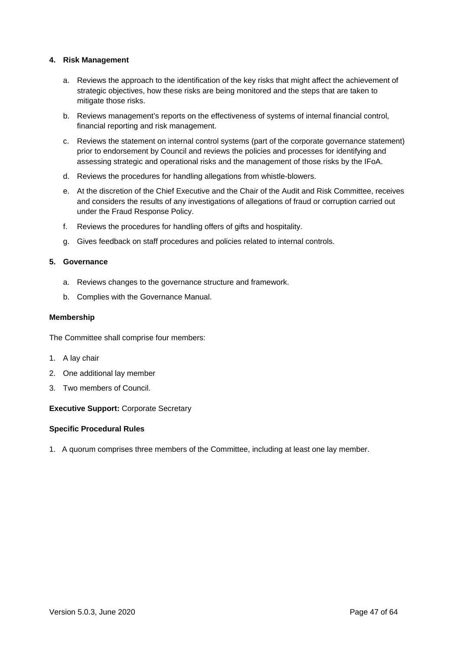### **4. Risk Management**

- a. Reviews the approach to the identification of the key risks that might affect the achievement of strategic objectives, how these risks are being monitored and the steps that are taken to mitigate those risks.
- b. Reviews management's reports on the effectiveness of systems of internal financial control, financial reporting and risk management.
- c. Reviews the statement on internal control systems (part of the corporate governance statement) prior to endorsement by Council and reviews the policies and processes for identifying and assessing strategic and operational risks and the management of those risks by the IFoA.
- d. Reviews the procedures for handling allegations from whistle-blowers.
- e. At the discretion of the Chief Executive and the Chair of the Audit and Risk Committee, receives and considers the results of any investigations of allegations of fraud or corruption carried out under the Fraud Response Policy.
- f. Reviews the procedures for handling offers of gifts and hospitality.
- g. Gives feedback on staff procedures and policies related to internal controls.

#### **5. Governance**

- a. Reviews changes to the governance structure and framework.
- b. Complies with the Governance Manual.

# **Membership**

The Committee shall comprise four members:

- 1. A lay chair
- 2. One additional lay member
- 3. Two members of Council.

### **Executive Support:** Corporate Secretary

### **Specific Procedural Rules**

1. A quorum comprises three members of the Committee, including at least one lay member.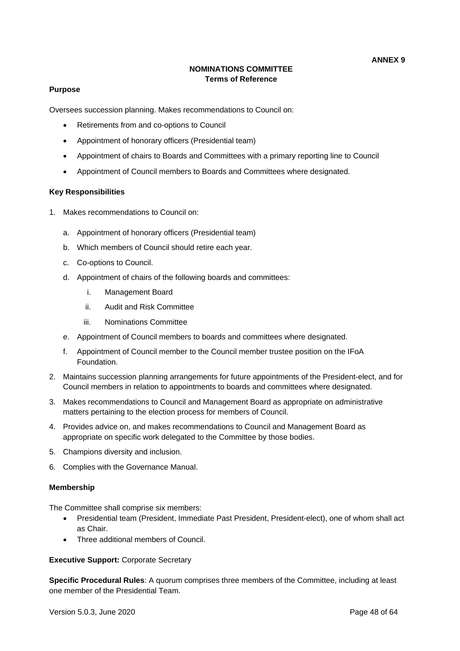# **NOMINATIONS COMMITTEE Terms of Reference**

#### **Purpose**

Oversees succession planning. Makes recommendations to Council on:

- Retirements from and co-options to Council
- Appointment of honorary officers (Presidential team)
- Appointment of chairs to Boards and Committees with a primary reporting line to Council
- Appointment of Council members to Boards and Committees where designated.

#### **Key Responsibilities**

- 1. Makes recommendations to Council on:
	- a. Appointment of honorary officers (Presidential team)
	- b. Which members of Council should retire each year.
	- c. Co-options to Council.
	- d. Appointment of chairs of the following boards and committees:
		- i. Management Board
		- ii. Audit and Risk Committee
		- iii. Nominations Committee
	- e. Appointment of Council members to boards and committees where designated.
	- f. Appointment of Council member to the Council member trustee position on the IFoA Foundation.
- 2. Maintains succession planning arrangements for future appointments of the President-elect, and for Council members in relation to appointments to boards and committees where designated.
- 3. Makes recommendations to Council and Management Board as appropriate on administrative matters pertaining to the election process for members of Council.
- 4. Provides advice on, and makes recommendations to Council and Management Board as appropriate on specific work delegated to the Committee by those bodies.
- 5. Champions diversity and inclusion.
- 6. Complies with the Governance Manual.

#### **Membership**

The Committee shall comprise six members:

- Presidential team (President, Immediate Past President, President-elect), one of whom shall act as Chair.
- Three additional members of Council.

#### **Executive Support:** Corporate Secretary

**Specific Procedural Rules**: A quorum comprises three members of the Committee, including at least one member of the Presidential Team.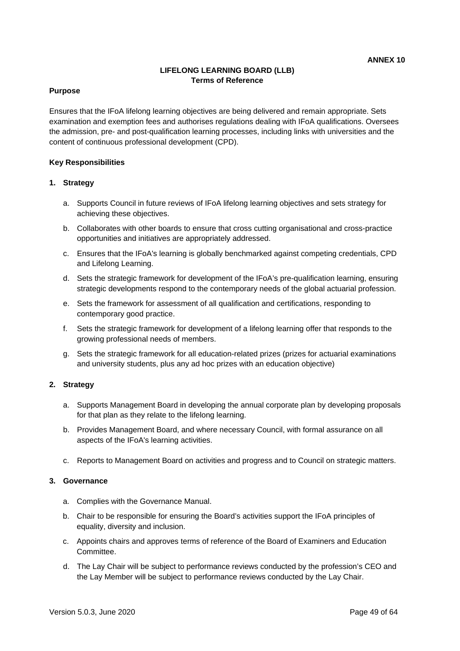# **LIFELONG LEARNING BOARD (LLB) Terms of Reference**

#### **Purpose**

Ensures that the IFoA lifelong learning objectives are being delivered and remain appropriate. Sets examination and exemption fees and authorises regulations dealing with IFoA qualifications. Oversees the admission, pre- and post-qualification learning processes, including links with universities and the content of continuous professional development (CPD).

#### **Key Responsibilities**

#### **1. Strategy**

- a. Supports Council in future reviews of IFoA lifelong learning objectives and sets strategy for achieving these objectives.
- b. Collaborates with other boards to ensure that cross cutting organisational and cross-practice opportunities and initiatives are appropriately addressed.
- c. Ensures that the IFoA's learning is globally benchmarked against competing credentials, CPD and Lifelong Learning.
- d. Sets the strategic framework for development of the IFoA's pre-qualification learning, ensuring strategic developments respond to the contemporary needs of the global actuarial profession.
- e. Sets the framework for assessment of all qualification and certifications, responding to contemporary good practice.
- f. Sets the strategic framework for development of a lifelong learning offer that responds to the growing professional needs of members.
- g. Sets the strategic framework for all education-related prizes (prizes for actuarial examinations and university students, plus any ad hoc prizes with an education objective)

### **2. Strategy**

- a. Supports Management Board in developing the annual corporate plan by developing proposals for that plan as they relate to the lifelong learning.
- b. Provides Management Board, and where necessary Council, with formal assurance on all aspects of the IFoA's learning activities.
- c. Reports to Management Board on activities and progress and to Council on strategic matters.

#### **3. Governance**

- a. Complies with the Governance Manual.
- b. Chair to be responsible for ensuring the Board's activities support the IFoA principles of equality, diversity and inclusion.
- c. Appoints chairs and approves terms of reference of the Board of Examiners and Education Committee.
- d. The Lay Chair will be subject to performance reviews conducted by the profession's CEO and the Lay Member will be subject to performance reviews conducted by the Lay Chair.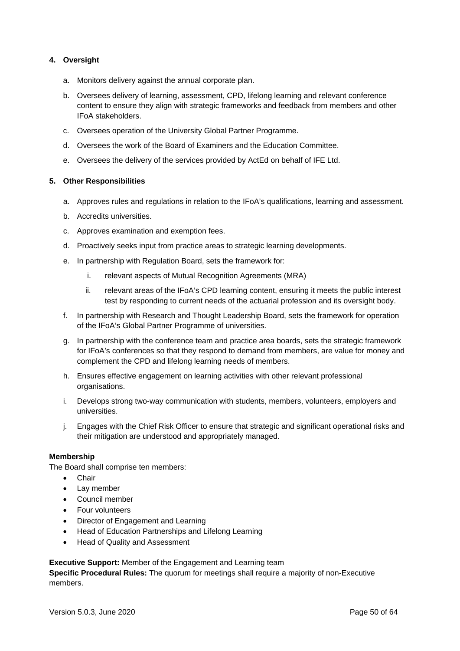# **4. Oversight**

- a. Monitors delivery against the annual corporate plan.
- b. Oversees delivery of learning, assessment, CPD, lifelong learning and relevant conference content to ensure they align with strategic frameworks and feedback from members and other IFoA stakeholders.
- c. Oversees operation of the University Global Partner Programme.
- d. Oversees the work of the Board of Examiners and the Education Committee.
- e. Oversees the delivery of the services provided by ActEd on behalf of IFE Ltd.

#### **5. Other Responsibilities**

- a. Approves rules and regulations in relation to the IFoA's qualifications, learning and assessment.
- b. Accredits universities.
- c. Approves examination and exemption fees.
- d. Proactively seeks input from practice areas to strategic learning developments.
- e. In partnership with Regulation Board, sets the framework for:
	- i. relevant aspects of Mutual Recognition Agreements (MRA)
	- ii. relevant areas of the IFoA's CPD learning content, ensuring it meets the public interest test by responding to current needs of the actuarial profession and its oversight body.
- f. In partnership with Research and Thought Leadership Board, sets the framework for operation of the IFoA's Global Partner Programme of universities.
- g. In partnership with the conference team and practice area boards, sets the strategic framework for IFoA's conferences so that they respond to demand from members, are value for money and complement the CPD and lifelong learning needs of members.
- h. Ensures effective engagement on learning activities with other relevant professional organisations.
- i. Develops strong two-way communication with students, members, volunteers, employers and universities.
- j. Engages with the Chief Risk Officer to ensure that strategic and significant operational risks and their mitigation are understood and appropriately managed.

#### **Membership**

The Board shall comprise ten members:

- Chair
- Lav member
- Council member
- Four volunteers
- Director of Engagement and Learning
- Head of Education Partnerships and Lifelong Learning
- Head of Quality and Assessment

#### **Executive Support:** Member of the Engagement and Learning team

**Specific Procedural Rules:** The quorum for meetings shall require a majority of non-Executive members.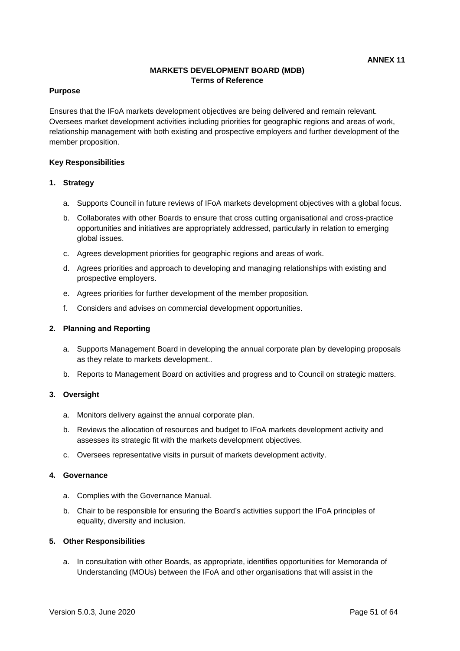# **MARKETS DEVELOPMENT BOARD (MDB) Terms of Reference**

### **Purpose**

Ensures that the IFoA markets development objectives are being delivered and remain relevant. Oversees market development activities including priorities for geographic regions and areas of work, relationship management with both existing and prospective employers and further development of the member proposition.

#### **Key Responsibilities**

#### **1. Strategy**

- a. Supports Council in future reviews of IFoA markets development objectives with a global focus.
- b. Collaborates with other Boards to ensure that cross cutting organisational and cross-practice opportunities and initiatives are appropriately addressed, particularly in relation to emerging global issues.
- c. Agrees development priorities for geographic regions and areas of work.
- d. Agrees priorities and approach to developing and managing relationships with existing and prospective employers.
- e. Agrees priorities for further development of the member proposition.
- f. Considers and advises on commercial development opportunities.

#### **2. Planning and Reporting**

- a. Supports Management Board in developing the annual corporate plan by developing proposals as they relate to markets development..
- b. Reports to Management Board on activities and progress and to Council on strategic matters.

### **3. Oversight**

- a. Monitors delivery against the annual corporate plan.
- b. Reviews the allocation of resources and budget to IFoA markets development activity and assesses its strategic fit with the markets development objectives.
- c. Oversees representative visits in pursuit of markets development activity.

#### **4. Governance**

- a. Complies with the Governance Manual.
- b. Chair to be responsible for ensuring the Board's activities support the IFoA principles of equality, diversity and inclusion.

### **5. Other Responsibilities**

a. In consultation with other Boards, as appropriate, identifies opportunities for Memoranda of Understanding (MOUs) between the IFoA and other organisations that will assist in the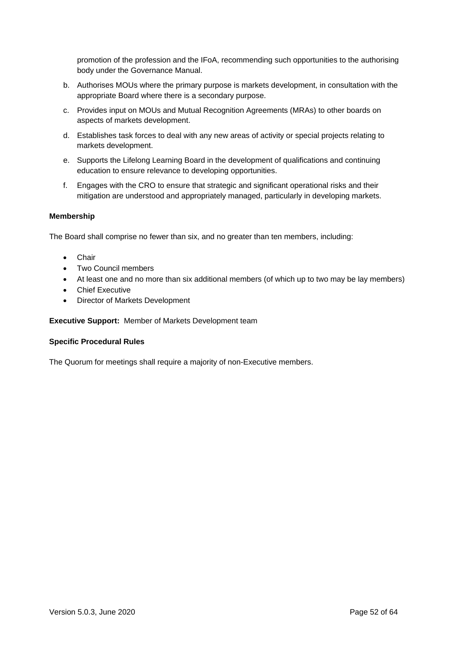promotion of the profession and the IFoA, recommending such opportunities to the authorising body under the Governance Manual.

- b. Authorises MOUs where the primary purpose is markets development, in consultation with the appropriate Board where there is a secondary purpose.
- c. Provides input on MOUs and Mutual Recognition Agreements (MRAs) to other boards on aspects of markets development.
- d. Establishes task forces to deal with any new areas of activity or special projects relating to markets development.
- e. Supports the Lifelong Learning Board in the development of qualifications and continuing education to ensure relevance to developing opportunities.
- f. Engages with the CRO to ensure that strategic and significant operational risks and their mitigation are understood and appropriately managed, particularly in developing markets.

### **Membership**

The Board shall comprise no fewer than six, and no greater than ten members, including:

- **Chair**
- Two Council members
- At least one and no more than six additional members (of which up to two may be lay members)
- **Chief Executive**
- Director of Markets Development

### **Executive Support:** Member of Markets Development team

### **Specific Procedural Rules**

The Quorum for meetings shall require a majority of non-Executive members.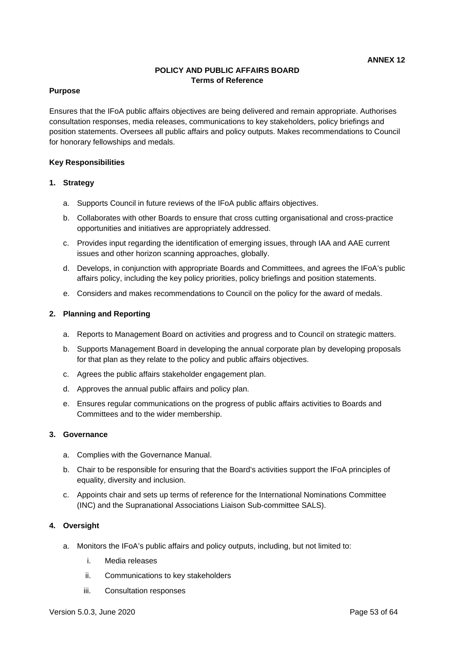# **POLICY AND PUBLIC AFFAIRS BOARD Terms of Reference**

#### **Purpose**

Ensures that the IFoA public affairs objectives are being delivered and remain appropriate. Authorises consultation responses, media releases, communications to key stakeholders, policy briefings and position statements. Oversees all public affairs and policy outputs. Makes recommendations to Council for honorary fellowships and medals.

#### **Key Responsibilities**

#### **1. Strategy**

- a. Supports Council in future reviews of the IFoA public affairs objectives.
- b. Collaborates with other Boards to ensure that cross cutting organisational and cross-practice opportunities and initiatives are appropriately addressed.
- c. Provides input regarding the identification of emerging issues, through IAA and AAE current issues and other horizon scanning approaches, globally.
- d. Develops, in conjunction with appropriate Boards and Committees, and agrees the IFoA's public affairs policy, including the key policy priorities, policy briefings and position statements.
- e. Considers and makes recommendations to Council on the policy for the award of medals.

#### **2. Planning and Reporting**

- a. Reports to Management Board on activities and progress and to Council on strategic matters.
- b. Supports Management Board in developing the annual corporate plan by developing proposals for that plan as they relate to the policy and public affairs objectives.
- c. Agrees the public affairs stakeholder engagement plan.
- d. Approves the annual public affairs and policy plan.
- e. Ensures regular communications on the progress of public affairs activities to Boards and Committees and to the wider membership.

#### **3. Governance**

- a. Complies with the Governance Manual.
- b. Chair to be responsible for ensuring that the Board's activities support the IFoA principles of equality, diversity and inclusion.
- c. Appoints chair and sets up terms of reference for the International Nominations Committee (INC) and the Supranational Associations Liaison Sub-committee SALS).

### **4. Oversight**

- a. Monitors the IFoA's public affairs and policy outputs, including, but not limited to:
	- i. Media releases
	- ii. Communications to key stakeholders
	- iii. Consultation responses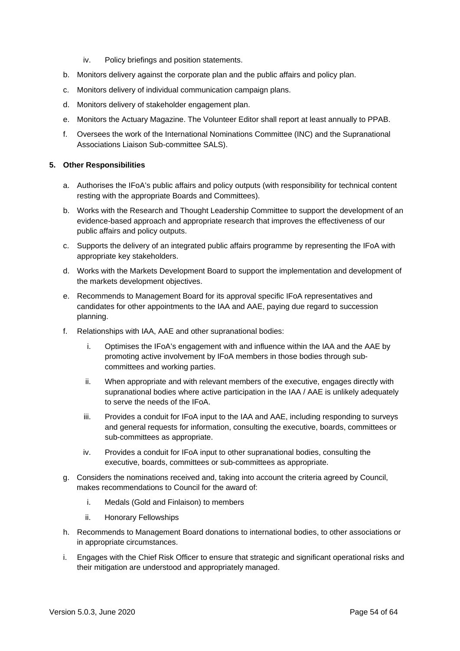- iv. Policy briefings and position statements.
- b. Monitors delivery against the corporate plan and the public affairs and policy plan.
- c. Monitors delivery of individual communication campaign plans.
- d. Monitors delivery of stakeholder engagement plan.
- e. Monitors the Actuary Magazine. The Volunteer Editor shall report at least annually to PPAB.
- f. Oversees the work of the International Nominations Committee (INC) and the Supranational Associations Liaison Sub-committee SALS).

#### **5. Other Responsibilities**

- a. Authorises the IFoA's public affairs and policy outputs (with responsibility for technical content resting with the appropriate Boards and Committees).
- b. Works with the Research and Thought Leadership Committee to support the development of an evidence-based approach and appropriate research that improves the effectiveness of our public affairs and policy outputs.
- c. Supports the delivery of an integrated public affairs programme by representing the IFoA with appropriate key stakeholders.
- d. Works with the Markets Development Board to support the implementation and development of the markets development objectives.
- e. Recommends to Management Board for its approval specific IFoA representatives and candidates for other appointments to the IAA and AAE, paying due regard to succession planning.
- f. Relationships with IAA, AAE and other supranational bodies:
	- i. Optimises the IFoA's engagement with and influence within the IAA and the AAE by promoting active involvement by IFoA members in those bodies through subcommittees and working parties.
	- ii. When appropriate and with relevant members of the executive, engages directly with supranational bodies where active participation in the IAA / AAE is unlikely adequately to serve the needs of the IFoA.
	- iii. Provides a conduit for IFoA input to the IAA and AAE, including responding to surveys and general requests for information, consulting the executive, boards, committees or sub-committees as appropriate.
	- iv. Provides a conduit for IFoA input to other supranational bodies, consulting the executive, boards, committees or sub-committees as appropriate.
- g. Considers the nominations received and, taking into account the criteria agreed by Council, makes recommendations to Council for the award of:
	- i. Medals (Gold and Finlaison) to members
	- ii. Honorary Fellowships
- h. Recommends to Management Board donations to international bodies, to other associations or in appropriate circumstances.
- i. Engages with the Chief Risk Officer to ensure that strategic and significant operational risks and their mitigation are understood and appropriately managed.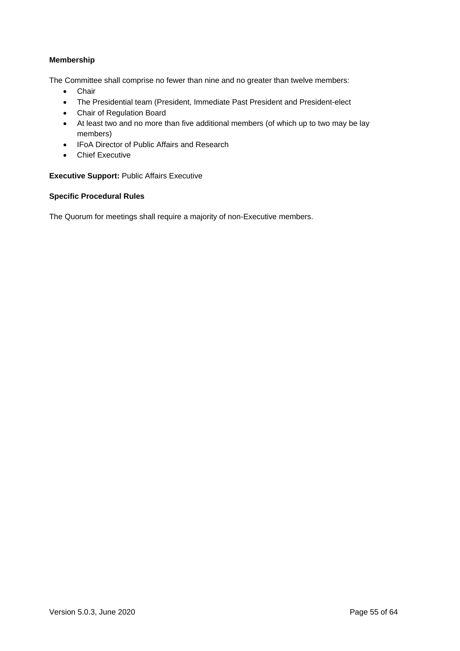# **Membership**

The Committee shall comprise no fewer than nine and no greater than twelve members:

- Chair
- The Presidential team (President, Immediate Past President and President-elect
- Chair of Regulation Board
- At least two and no more than five additional members (of which up to two may be lay members)
- IFoA Director of Public Affairs and Research
- Chief Executive

### **Executive Support:** Public Affairs Executive

### **Specific Procedural Rules**

The Quorum for meetings shall require a majority of non-Executive members.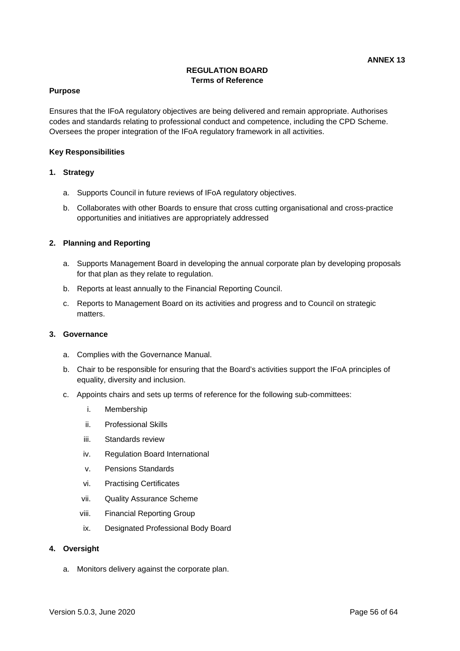# **REGULATION BOARD Terms of Reference**

#### **Purpose**

Ensures that the IFoA regulatory objectives are being delivered and remain appropriate. Authorises codes and standards relating to professional conduct and competence, including the CPD Scheme. Oversees the proper integration of the IFoA regulatory framework in all activities.

#### **Key Responsibilities**

#### **1. Strategy**

- a. Supports Council in future reviews of IFoA regulatory objectives.
- b. Collaborates with other Boards to ensure that cross cutting organisational and cross-practice opportunities and initiatives are appropriately addressed

#### **2. Planning and Reporting**

- a. Supports Management Board in developing the annual corporate plan by developing proposals for that plan as they relate to regulation.
- b. Reports at least annually to the Financial Reporting Council.
- c. Reports to Management Board on its activities and progress and to Council on strategic matters.

#### **3. Governance**

- a. Complies with the Governance Manual.
- b. Chair to be responsible for ensuring that the Board's activities support the IFoA principles of equality, diversity and inclusion.
- c. Appoints chairs and sets up terms of reference for the following sub-committees:
	- i. Membership
	- ii. Professional Skills
	- iii. Standards review
	- iv. Regulation Board International
	- v. Pensions Standards
	- vi. Practising Certificates
	- vii. Quality Assurance Scheme
	- viii. Financial Reporting Group
	- ix. Designated Professional Body Board

#### **4. Oversight**

a. Monitors delivery against the corporate plan.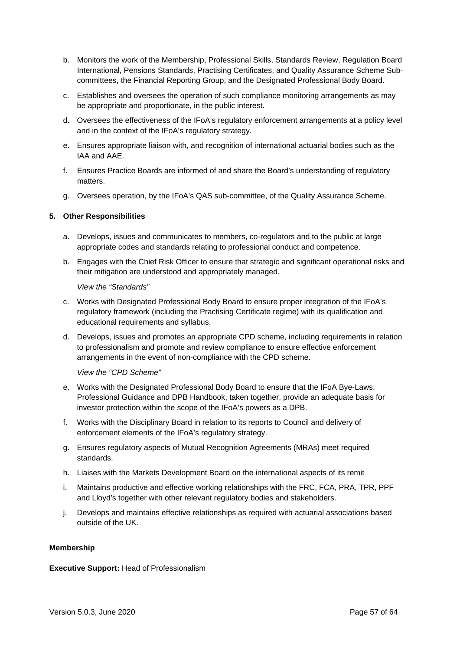- b. Monitors the work of the Membership, Professional Skills, Standards Review, Regulation Board International, Pensions Standards, Practising Certificates, and Quality Assurance Scheme Subcommittees, the Financial Reporting Group, and the Designated Professional Body Board.
- c. Establishes and oversees the operation of such compliance monitoring arrangements as may be appropriate and proportionate, in the public interest.
- d. Oversees the effectiveness of the IFoA's regulatory enforcement arrangements at a policy level and in the context of the IFoA's regulatory strategy.
- e. Ensures appropriate liaison with, and recognition of international actuarial bodies such as the IAA and AAE.
- f. Ensures Practice Boards are informed of and share the Board's understanding of regulatory matters.
- g. Oversees operation, by the IFoA's QAS sub-committee, of the Quality Assurance Scheme.

### **5. Other Responsibilities**

- a. Develops, issues and communicates to members, co-regulators and to the public at large appropriate codes and standards relating to professional conduct and competence.
- b. Engages with the Chief Risk Officer to ensure that strategic and significant operational risks and their mitigation are understood and appropriately managed.

*View the "Standards"*

- c. Works with Designated Professional Body Board to ensure proper integration of the IFoA's regulatory framework (including the Practising Certificate regime) with its qualification and educational requirements and syllabus.
- d. Develops, issues and promotes an appropriate CPD scheme, including requirements in relation to professionalism and promote and review compliance to ensure effective enforcement arrangements in the event of non-compliance with the CPD scheme.

*View the "CPD Scheme"*

- e. Works with the Designated Professional Body Board to ensure that the IFoA Bye-Laws, Professional Guidance and DPB Handbook, taken together, provide an adequate basis for investor protection within the scope of the IFoA's powers as a DPB.
- f. Works with the Disciplinary Board in relation to its reports to Council and delivery of enforcement elements of the IFoA's regulatory strategy.
- g. Ensures regulatory aspects of Mutual Recognition Agreements (MRAs) meet required standards.
- h. Liaises with the Markets Development Board on the international aspects of its remit
- i. Maintains productive and effective working relationships with the FRC, FCA, PRA, TPR, PPF and Lloyd's together with other relevant regulatory bodies and stakeholders.
- j. Develops and maintains effective relationships as required with actuarial associations based outside of the UK.

### **Membership**

### **Executive Support:** Head of Professionalism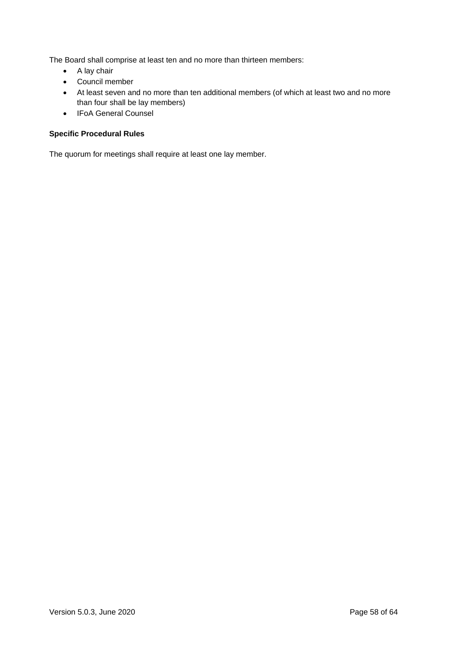The Board shall comprise at least ten and no more than thirteen members:

- A lay chair
- Council member
- At least seven and no more than ten additional members (of which at least two and no more than four shall be lay members)
- IFoA General Counsel

# **Specific Procedural Rules**

The quorum for meetings shall require at least one lay member.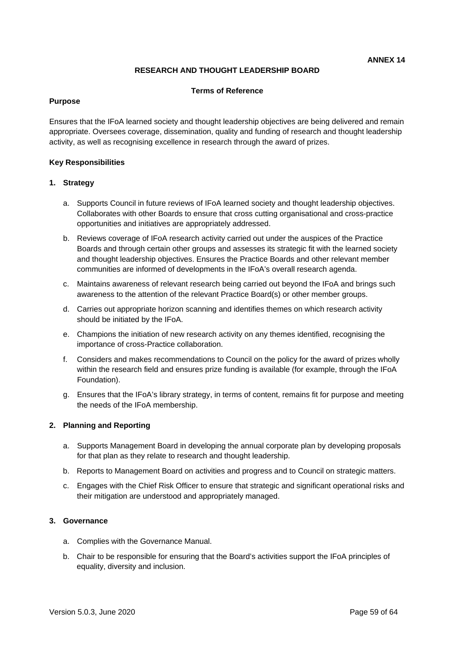# **RESEARCH AND THOUGHT LEADERSHIP BOARD**

#### **Terms of Reference**

#### **Purpose**

Ensures that the IFoA learned society and thought leadership objectives are being delivered and remain appropriate. Oversees coverage, dissemination, quality and funding of research and thought leadership activity, as well as recognising excellence in research through the award of prizes.

#### **Key Responsibilities**

#### **1. Strategy**

- a. Supports Council in future reviews of IFoA learned society and thought leadership objectives. Collaborates with other Boards to ensure that cross cutting organisational and cross-practice opportunities and initiatives are appropriately addressed.
- b. Reviews coverage of IFoA research activity carried out under the auspices of the Practice Boards and through certain other groups and assesses its strategic fit with the learned society and thought leadership objectives. Ensures the Practice Boards and other relevant member communities are informed of developments in the IFoA's overall research agenda.
- c. Maintains awareness of relevant research being carried out beyond the IFoA and brings such awareness to the attention of the relevant Practice Board(s) or other member groups.
- d. Carries out appropriate horizon scanning and identifies themes on which research activity should be initiated by the IFoA.
- e. Champions the initiation of new research activity on any themes identified, recognising the importance of cross-Practice collaboration.
- f. Considers and makes recommendations to Council on the policy for the award of prizes wholly within the research field and ensures prize funding is available (for example, through the IFoA Foundation).
- g. Ensures that the IFoA's library strategy, in terms of content, remains fit for purpose and meeting the needs of the IFoA membership.

### **2. Planning and Reporting**

- a. Supports Management Board in developing the annual corporate plan by developing proposals for that plan as they relate to research and thought leadership.
- b. Reports to Management Board on activities and progress and to Council on strategic matters.
- c. Engages with the Chief Risk Officer to ensure that strategic and significant operational risks and their mitigation are understood and appropriately managed.

### **3. Governance**

- a. Complies with the Governance Manual.
- b. Chair to be responsible for ensuring that the Board's activities support the IFoA principles of equality, diversity and inclusion.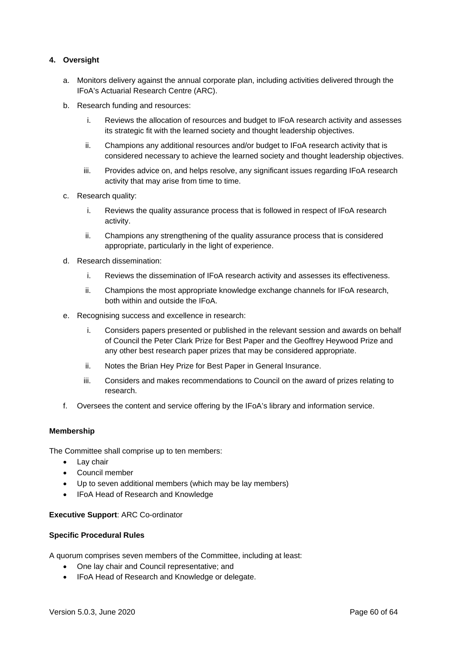# **4. Oversight**

- a. Monitors delivery against the annual corporate plan, including activities delivered through the IFoA's Actuarial Research Centre (ARC).
- b. Research funding and resources:
	- i. Reviews the allocation of resources and budget to IFoA research activity and assesses its strategic fit with the learned society and thought leadership objectives.
	- ii. Champions any additional resources and/or budget to IFoA research activity that is considered necessary to achieve the learned society and thought leadership objectives.
	- iii. Provides advice on, and helps resolve, any significant issues regarding IFoA research activity that may arise from time to time.
- c. Research quality:
	- i. Reviews the quality assurance process that is followed in respect of IFoA research activity.
	- ii. Champions any strengthening of the quality assurance process that is considered appropriate, particularly in the light of experience.
- d. Research dissemination:
	- i. Reviews the dissemination of IFoA research activity and assesses its effectiveness.
	- ii. Champions the most appropriate knowledge exchange channels for IFoA research, both within and outside the IFoA.
- e. Recognising success and excellence in research:
	- i. Considers papers presented or published in the relevant session and awards on behalf of Council the Peter Clark Prize for Best Paper and the Geoffrey Heywood Prize and any other best research paper prizes that may be considered appropriate.
	- ii. Notes the Brian Hey Prize for Best Paper in General Insurance.
	- iii. Considers and makes recommendations to Council on the award of prizes relating to research.
- f. Oversees the content and service offering by the IFoA's library and information service.

### **Membership**

The Committee shall comprise up to ten members:

- Lay chair
- Council member
- Up to seven additional members (which may be lay members)
- IFoA Head of Research and Knowledge

#### **Executive Support**: ARC Co-ordinator

#### **Specific Procedural Rules**

A quorum comprises seven members of the Committee, including at least:

- One lay chair and Council representative; and
- IFoA Head of Research and Knowledge or delegate.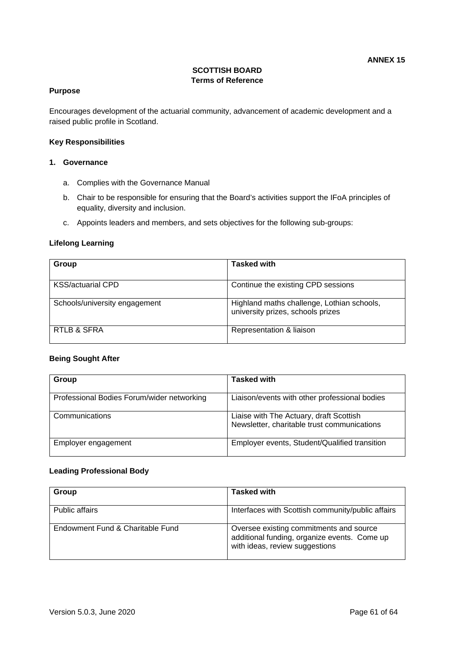# **SCOTTISH BOARD Terms of Reference**

# **Purpose**

Encourages development of the actuarial community, advancement of academic development and a raised public profile in Scotland.

#### **Key Responsibilities**

#### **1. Governance**

- a. Complies with the Governance Manual
- b. Chair to be responsible for ensuring that the Board's activities support the IFoA principles of equality, diversity and inclusion.
- c. Appoints leaders and members, and sets objectives for the following sub-groups:

#### **Lifelong Learning**

| Group                         | <b>Tasked with</b>                                                              |
|-------------------------------|---------------------------------------------------------------------------------|
| <b>KSS/actuarial CPD</b>      | Continue the existing CPD sessions                                              |
| Schools/university engagement | Highland maths challenge, Lothian schools,<br>university prizes, schools prizes |
| RTLB & SFRA                   | Representation & liaison                                                        |

#### **Being Sought After**

| Group                                      | <b>Tasked with</b>                                                                     |
|--------------------------------------------|----------------------------------------------------------------------------------------|
| Professional Bodies Forum/wider networking | Liaison/events with other professional bodies                                          |
| Communications                             | Liaise with The Actuary, draft Scottish<br>Newsletter, charitable trust communications |
| Employer engagement                        | Employer events, Student/Qualified transition                                          |

#### **Leading Professional Body**

| Group                            | <b>Tasked with</b>                                                                                                        |
|----------------------------------|---------------------------------------------------------------------------------------------------------------------------|
| Public affairs                   | Interfaces with Scottish community/public affairs                                                                         |
| Endowment Fund & Charitable Fund | Oversee existing commitments and source<br>additional funding, organize events. Come up<br>with ideas, review suggestions |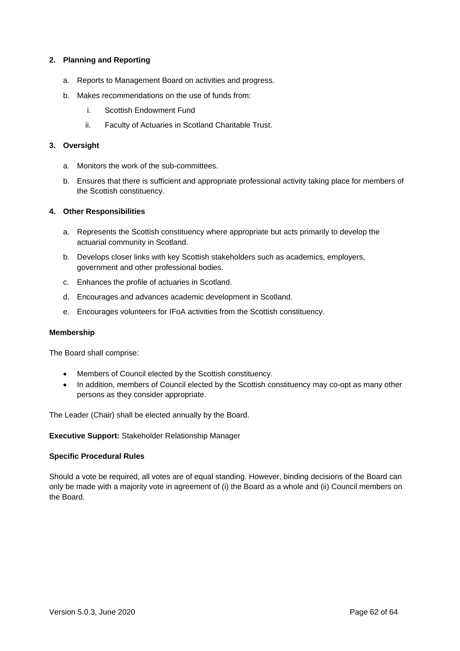### **2. Planning and Reporting**

- a. Reports to Management Board on activities and progress.
- b. Makes recommendations on the use of funds from:
	- i. Scottish Endowment Fund
	- ii. Faculty of Actuaries in Scotland Charitable Trust.

#### **3. Oversight**

- a. Monitors the work of the sub-committees.
- b. Ensures that there is sufficient and appropriate professional activity taking place for members of the Scottish constituency.

#### **4. Other Responsibilities**

- a. Represents the Scottish constituency where appropriate but acts primarily to develop the actuarial community in Scotland.
- b. Develops closer links with key Scottish stakeholders such as academics, employers, government and other professional bodies.
- c. Enhances the profile of actuaries in Scotland.
- d. Encourages and advances academic development in Scotland.
- e. Encourages volunteers for IFoA activities from the Scottish constituency.

#### **Membership**

The Board shall comprise:

- Members of Council elected by the Scottish constituency.
- In addition, members of Council elected by the Scottish constituency may co-opt as many other persons as they consider appropriate.

The Leader (Chair) shall be elected annually by the Board.

**Executive Support:** Stakeholder Relationship Manager

### **Specific Procedural Rules**

Should a vote be required, all votes are of equal standing. However, binding decisions of the Board can only be made with a majority vote in agreement of (i) the Board as a whole and (ii) Council members on the Board.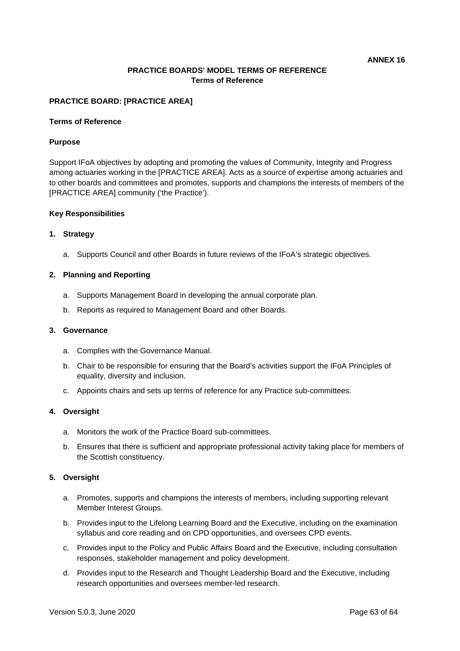# **PRACTICE BOARDS' MODEL TERMS OF REFERENCE Terms of Reference**

#### **PRACTICE BOARD: [PRACTICE AREA]**

#### **Terms of Reference**

#### **Purpose**

Support IFoA objectives by adopting and promoting the values of Community, Integrity and Progress among actuaries working in the [PRACTICE AREA]. Acts as a source of expertise among actuaries and to other boards and committees and promotes, supports and champions the interests of members of the [PRACTICE AREA] community ('the Practice').

#### **Key Responsibilities**

#### **1. Strategy**

a. Supports Council and other Boards in future reviews of the IFoA's strategic objectives.

#### **2. Planning and Reporting**

- a. Supports Management Board in developing the annual corporate plan.
- b. Reports as required to Management Board and other Boards.

#### **3. Governance**

- a. Complies with the Governance Manual.
- b. Chair to be responsible for ensuring that the Board's activities support the IFoA Principles of equality, diversity and inclusion.
- c. Appoints chairs and sets up terms of reference for any Practice sub-committees.

#### **4. Oversight**

- a. Monitors the work of the Practice Board sub-committees.
- b. Ensures that there is sufficient and appropriate professional activity taking place for members of the Scottish constituency.

#### **5. Oversight**

- a. Promotes, supports and champions the interests of members, including supporting relevant Member Interest Groups.
- b. Provides input to the Lifelong Learning Board and the Executive, including on the examination syllabus and core reading and on CPD opportunities, and oversees CPD events.
- c. Provides input to the Policy and Public Affairs Board and the Executive, including consultation responses, stakeholder management and policy development.
- d. Provides input to the Research and Thought Leadership Board and the Executive, including research opportunities and oversees member-led research.